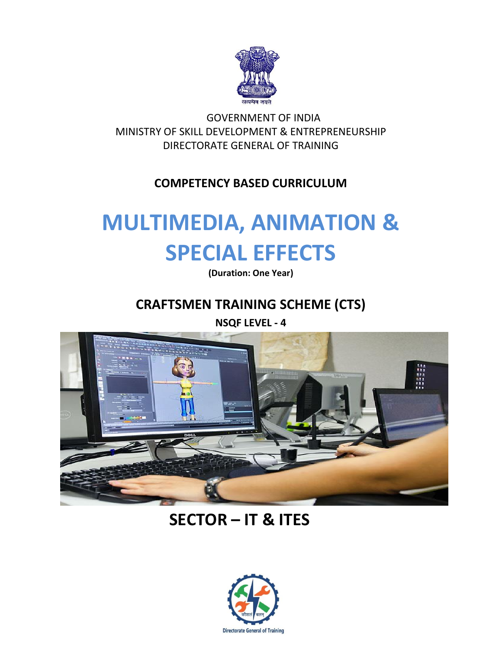

GOVERNMENT OF INDIA MINISTRY OF SKILL DEVELOPMENT & ENTREPRENEURSHIP DIRECTORATE GENERAL OF TRAINING

# **COMPETENCY BASED CURRICULUM**

# **MULTIMEDIA, ANIMATION & SPECIAL EFFECTS**

**(Duration: One Year)**

# **CRAFTSMEN TRAINING SCHEME (CTS)**

**NSQF LEVEL - 4**



# **SECTOR – IT & ITES**

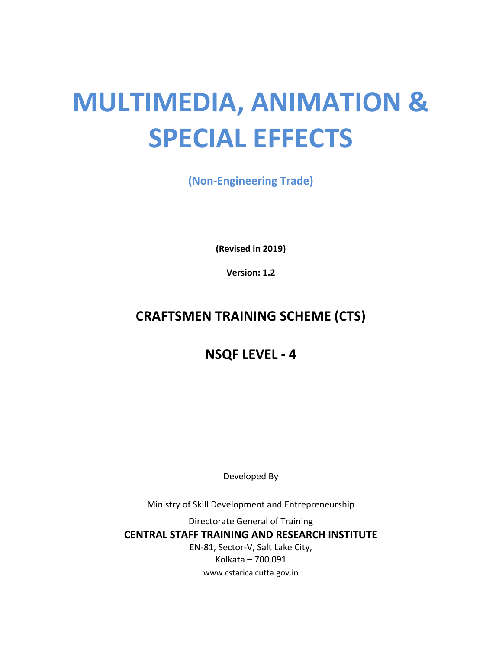# **MULTIMEDIA, ANIMATION & SPECIAL EFFECTS**

**(Non-Engineering Trade)**

**(Revised in 2019)**

**Version: 1.2**

# **CRAFTSMEN TRAINING SCHEME (CTS)**

# **NSQF LEVEL - 4**

Developed By

Ministry of Skill Development and Entrepreneurship

Directorate General of Training **CENTRAL STAFF TRAINING AND RESEARCH INSTITUTE** EN-81, Sector-V, Salt Lake City, Kolkata – 700 091 www.cstaricalcutta.gov.in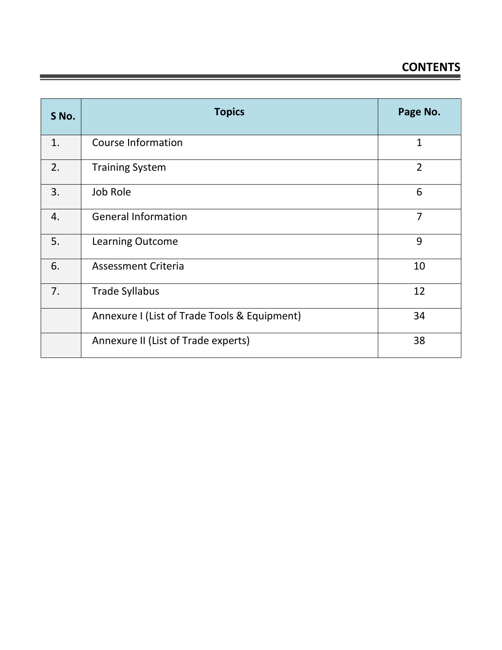| S No. | <b>Topics</b>                                | Page No.       |
|-------|----------------------------------------------|----------------|
| 1.    | <b>Course Information</b>                    | $\mathbf{1}$   |
| 2.    | <b>Training System</b>                       | $\overline{2}$ |
| 3.    | Job Role                                     | 6              |
| 4.    | <b>General Information</b>                   | $\overline{7}$ |
| 5.    | <b>Learning Outcome</b>                      | 9              |
| 6.    | <b>Assessment Criteria</b>                   | 10             |
| 7.    | <b>Trade Syllabus</b>                        | 12             |
|       | Annexure I (List of Trade Tools & Equipment) | 34             |
|       | Annexure II (List of Trade experts)          | 38             |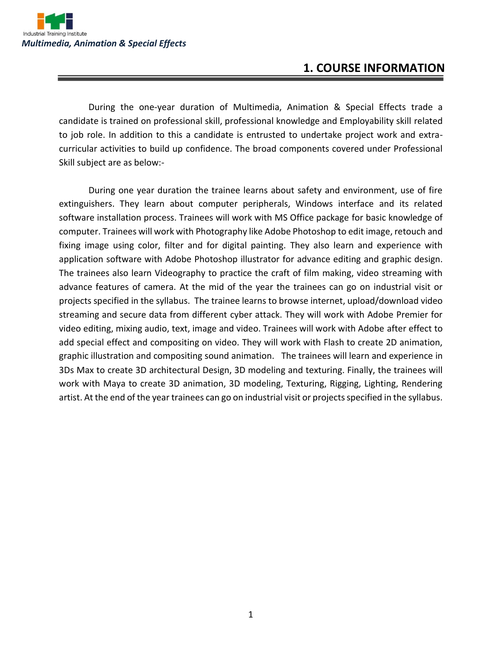

### **1. COURSE INFORMATION**

During the one-year duration of Multimedia, Animation & Special Effects trade a candidate is trained on professional skill, professional knowledge and Employability skill related to job role. In addition to this a candidate is entrusted to undertake project work and extracurricular activities to build up confidence. The broad components covered under Professional Skill subject are as below:-

During one year duration the trainee learns about safety and environment, use of fire extinguishers. They learn about computer peripherals, Windows interface and its related software installation process. Trainees will work with MS Office package for basic knowledge of computer. Trainees will work with Photography like Adobe Photoshop to edit image, retouch and fixing image using color, filter and for digital painting. They also learn and experience with application software with Adobe Photoshop illustrator for advance editing and graphic design. The trainees also learn Videography to practice the craft of film making, video streaming with advance features of camera. At the mid of the year the trainees can go on industrial visit or projects specified in the syllabus. The trainee learns to browse internet, upload/download video streaming and secure data from different cyber attack. They will work with Adobe Premier for video editing, mixing audio, text, image and video. Trainees will work with Adobe after effect to add special effect and compositing on video. They will work with Flash to create 2D animation, graphic illustration and compositing sound animation. The trainees will learn and experience in 3Ds Max to create 3D architectural Design, 3D modeling and texturing. Finally, the trainees will work with Maya to create 3D animation, 3D modeling, Texturing, Rigging, Lighting, Rendering artist. At the end of the year trainees can go on industrial visit or projects specified in the syllabus.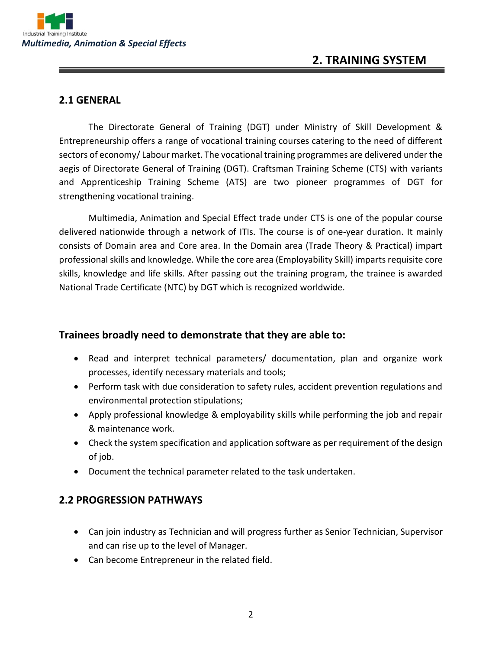

## **2. TRAINING SYSTEM**

#### **2.1 GENERAL**

The Directorate General of Training (DGT) under Ministry of Skill Development & Entrepreneurship offers a range of vocational training courses catering to the need of different sectors of economy/ Labour market. The vocational training programmes are delivered under the aegis of Directorate General of Training (DGT). Craftsman Training Scheme (CTS) with variants and Apprenticeship Training Scheme (ATS) are two pioneer programmes of DGT for strengthening vocational training.

Multimedia, Animation and Special Effect trade under CTS is one of the popular course delivered nationwide through a network of ITIs. The course is of one-year duration. It mainly consists of Domain area and Core area. In the Domain area (Trade Theory & Practical) impart professional skills and knowledge. While the core area (Employability Skill) imparts requisite core skills, knowledge and life skills. After passing out the training program, the trainee is awarded National Trade Certificate (NTC) by DGT which is recognized worldwide.

#### **Trainees broadly need to demonstrate that they are able to:**

- Read and interpret technical parameters/ documentation, plan and organize work processes, identify necessary materials and tools;
- Perform task with due consideration to safety rules, accident prevention regulations and environmental protection stipulations;
- Apply professional knowledge & employability skills while performing the job and repair & maintenance work.
- Check the system specification and application software as per requirement of the design of job.
- Document the technical parameter related to the task undertaken.

#### **2.2 PROGRESSION PATHWAYS**

- Can join industry as Technician and will progress further as Senior Technician, Supervisor and can rise up to the level of Manager.
- Can become Entrepreneur in the related field.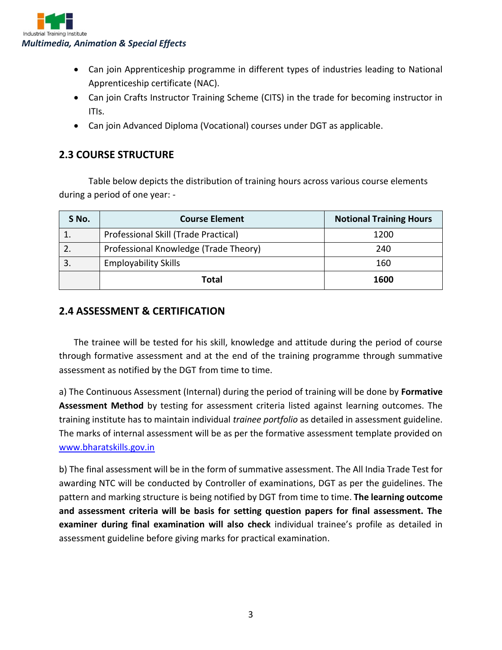

- Can join Apprenticeship programme in different types of industries leading to National Apprenticeship certificate (NAC).
- Can join Crafts Instructor Training Scheme (CITS) in the trade for becoming instructor in ITIs.
- Can join Advanced Diploma (Vocational) courses under DGT as applicable.

#### **2.3 COURSE STRUCTURE**

Table below depicts the distribution of training hours across various course elements during a period of one year: -

| S No. | <b>Course Element</b>                 | <b>Notional Training Hours</b> |
|-------|---------------------------------------|--------------------------------|
|       | Professional Skill (Trade Practical)  | 1200                           |
|       | Professional Knowledge (Trade Theory) | 240                            |
|       | <b>Employability Skills</b>           | 160                            |
|       | Total                                 | 1600                           |

#### **2.4 ASSESSMENT & CERTIFICATION**

The trainee will be tested for his skill, knowledge and attitude during the period of course through formative assessment and at the end of the training programme through summative assessment as notified by the DGT from time to time.

a) The Continuous Assessment (Internal) during the period of training will be done by **Formative Assessment Method** by testing for assessment criteria listed against learning outcomes. The training institute has to maintain individual *trainee portfolio* as detailed in assessment guideline. The marks of internal assessment will be as per the formative assessment template provided on [www.bharatskills.gov.in](http://www.bharatskills.gov.in/)

b) The final assessment will be in the form of summative assessment. The All India Trade Test for awarding NTC will be conducted by Controller of examinations, DGT as per the guidelines. The pattern and marking structure is being notified by DGT from time to time. **The learning outcome and assessment criteria will be basis for setting question papers for final assessment. The examiner during final examination will also check** individual trainee's profile as detailed in assessment guideline before giving marks for practical examination.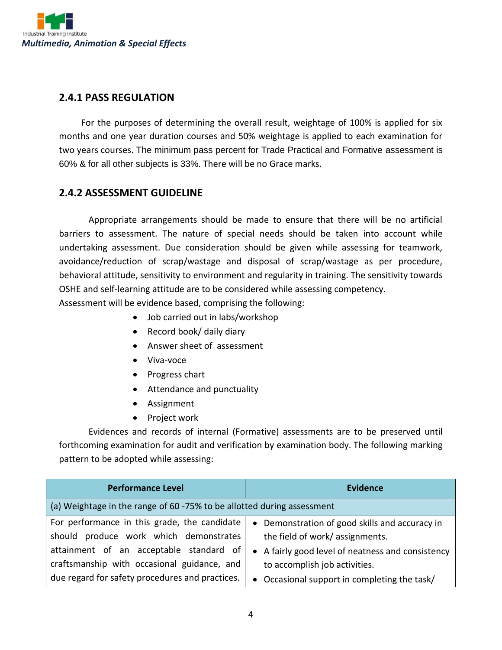

#### **2.4.1 PASS REGULATION**

For the purposes of determining the overall result, weightage of 100% is applied for six months and one year duration courses and 50% weightage is applied to each examination for two years courses. The minimum pass percent for Trade Practical and Formative assessment is 60% & for all other subjects is 33%. There will be no Grace marks.

#### **2.4.2 ASSESSMENT GUIDELINE**

Appropriate arrangements should be made to ensure that there will be no artificial barriers to assessment. The nature of special needs should be taken into account while undertaking assessment. Due consideration should be given while assessing for teamwork, avoidance/reduction of scrap/wastage and disposal of scrap/wastage as per procedure, behavioral attitude, sensitivity to environment and regularity in training. The sensitivity towards OSHE and self-learning attitude are to be considered while assessing competency. Assessment will be evidence based, comprising the following:

- Job carried out in labs/workshop
- Record book/ daily diary
- Answer sheet of assessment
- Viva-voce
- Progress chart
- Attendance and punctuality
- Assignment
- Project work

Evidences and records of internal (Formative) assessments are to be preserved until forthcoming examination for audit and verification by examination body. The following marking pattern to be adopted while assessing:

| <b>Performance Level</b>                                               | <b>Evidence</b>                                   |
|------------------------------------------------------------------------|---------------------------------------------------|
| (a) Weightage in the range of 60 -75% to be allotted during assessment |                                                   |
| For performance in this grade, the candidate                           | • Demonstration of good skills and accuracy in    |
| should produce work which demonstrates                                 | the field of work/assignments.                    |
| attainment of an acceptable standard of                                | • A fairly good level of neatness and consistency |
| craftsmanship with occasional guidance, and                            | to accomplish job activities.                     |
| due regard for safety procedures and practices.                        | • Occasional support in completing the task/      |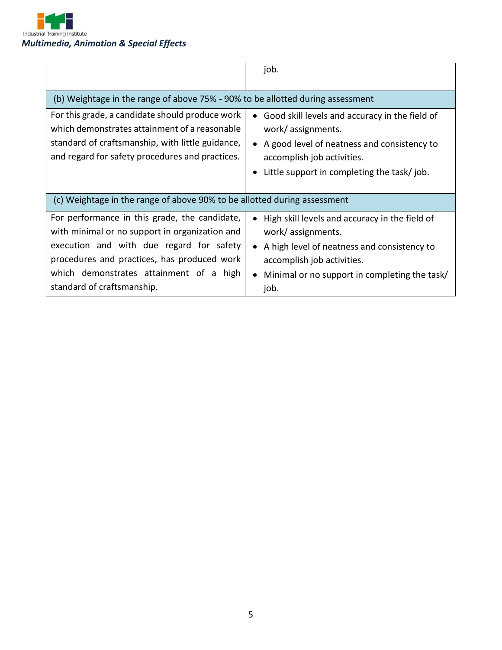

|                                                                                                                                                                                                                                                                     | job.                                                                                                                                                                                                        |
|---------------------------------------------------------------------------------------------------------------------------------------------------------------------------------------------------------------------------------------------------------------------|-------------------------------------------------------------------------------------------------------------------------------------------------------------------------------------------------------------|
| (b) Weightage in the range of above 75% - 90% to be allotted during assessment                                                                                                                                                                                      |                                                                                                                                                                                                             |
| For this grade, a candidate should produce work<br>which demonstrates attainment of a reasonable<br>standard of craftsmanship, with little guidance,<br>and regard for safety procedures and practices.                                                             | Good skill levels and accuracy in the field of<br>work/assignments.<br>A good level of neatness and consistency to<br>accomplish job activities.<br>Little support in completing the task/job.              |
| (c) Weightage in the range of above 90% to be allotted during assessment                                                                                                                                                                                            |                                                                                                                                                                                                             |
| For performance in this grade, the candidate,<br>with minimal or no support in organization and<br>execution and with due regard for safety<br>procedures and practices, has produced work<br>which demonstrates attainment of a high<br>standard of craftsmanship. | High skill levels and accuracy in the field of<br>work/assignments.<br>• A high level of neatness and consistency to<br>accomplish job activities.<br>Minimal or no support in completing the task/<br>job. |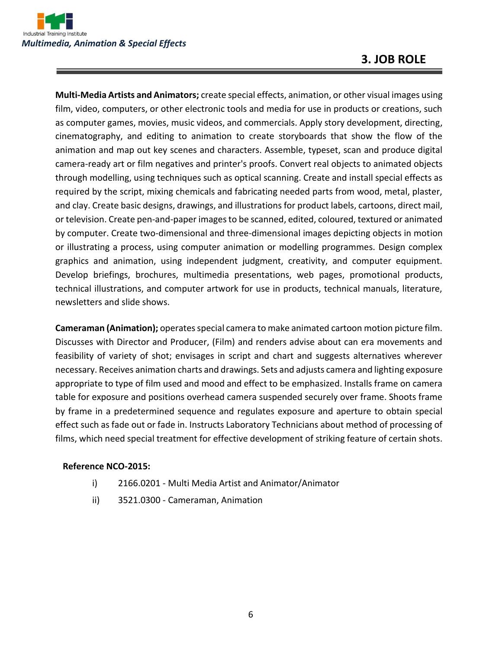

## **3. JOB ROLE**

**Multi-Media Artists and Animators;** create special effects, animation, or other visual images using film, video, computers, or other electronic tools and media for use in products or creations, such as computer games, movies, music videos, and commercials. Apply story development, directing, cinematography, and editing to animation to create storyboards that show the flow of the animation and map out key scenes and characters. Assemble, typeset, scan and produce digital camera-ready art or film negatives and printer's proofs. Convert real objects to animated objects through modelling, using techniques such as optical scanning. Create and install special effects as required by the script, mixing chemicals and fabricating needed parts from wood, metal, plaster, and clay. Create basic designs, drawings, and illustrations for product labels, cartoons, direct mail, or television. Create pen-and-paper images to be scanned, edited, coloured, textured or animated by computer. Create two-dimensional and three-dimensional images depicting objects in motion or illustrating a process, using computer animation or modelling programmes. Design complex graphics and animation, using independent judgment, creativity, and computer equipment. Develop briefings, brochures, multimedia presentations, web pages, promotional products, technical illustrations, and computer artwork for use in products, technical manuals, literature, newsletters and slide shows.

**Cameraman (Animation);** operates special camera to make animated cartoon motion picture film. Discusses with Director and Producer, (Film) and renders advise about can era movements and feasibility of variety of shot; envisages in script and chart and suggests alternatives wherever necessary. Receives animation charts and drawings. Sets and adjusts camera and lighting exposure appropriate to type of film used and mood and effect to be emphasized. Installs frame on camera table for exposure and positions overhead camera suspended securely over frame. Shoots frame by frame in a predetermined sequence and regulates exposure and aperture to obtain special effect such as fade out or fade in. Instructs Laboratory Technicians about method of processing of films, which need special treatment for effective development of striking feature of certain shots.

#### **Reference NCO-2015:**

- i) 2166.0201 Multi Media Artist and Animator/Animator
- ii) 3521.0300 Cameraman, Animation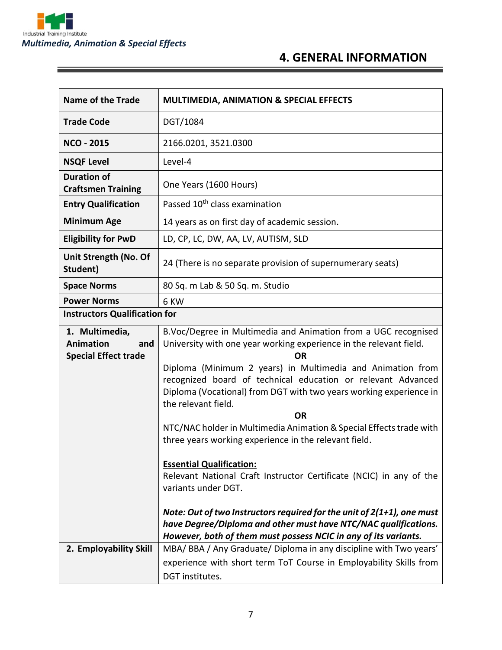

ĭ

# **4. GENERAL INFORMATION**

| <b>Name of the Trade</b>                                                 | <b>MULTIMEDIA, ANIMATION &amp; SPECIAL EFFECTS</b>                                                                                                                                                                      |  |
|--------------------------------------------------------------------------|-------------------------------------------------------------------------------------------------------------------------------------------------------------------------------------------------------------------------|--|
| <b>Trade Code</b>                                                        | DGT/1084                                                                                                                                                                                                                |  |
| <b>NCO - 2015</b>                                                        | 2166.0201, 3521.0300                                                                                                                                                                                                    |  |
| <b>NSQF Level</b>                                                        | Level-4                                                                                                                                                                                                                 |  |
| <b>Duration of</b><br><b>Craftsmen Training</b>                          | One Years (1600 Hours)                                                                                                                                                                                                  |  |
| <b>Entry Qualification</b>                                               | Passed 10 <sup>th</sup> class examination                                                                                                                                                                               |  |
| <b>Minimum Age</b>                                                       | 14 years as on first day of academic session.                                                                                                                                                                           |  |
| <b>Eligibility for PwD</b>                                               | LD, CP, LC, DW, AA, LV, AUTISM, SLD                                                                                                                                                                                     |  |
| Unit Strength (No. Of<br>Student)                                        | 24 (There is no separate provision of supernumerary seats)                                                                                                                                                              |  |
| <b>Space Norms</b>                                                       | 80 Sq. m Lab & 50 Sq. m. Studio                                                                                                                                                                                         |  |
| <b>Power Norms</b><br>6 KW                                               |                                                                                                                                                                                                                         |  |
| <b>Instructors Qualification for</b>                                     |                                                                                                                                                                                                                         |  |
| 1. Multimedia,<br><b>Animation</b><br>and<br><b>Special Effect trade</b> | B.Voc/Degree in Multimedia and Animation from a UGC recognised<br>University with one year working experience in the relevant field.<br><b>OR</b>                                                                       |  |
|                                                                          | Diploma (Minimum 2 years) in Multimedia and Animation from<br>recognized board of technical education or relevant Advanced<br>Diploma (Vocational) from DGT with two years working experience in<br>the relevant field. |  |
|                                                                          | <b>OR</b>                                                                                                                                                                                                               |  |
|                                                                          | NTC/NAC holder in Multimedia Animation & Special Effects trade with<br>three years working experience in the relevant field.                                                                                            |  |
|                                                                          | <b>Essential Qualification:</b>                                                                                                                                                                                         |  |
|                                                                          | Relevant National Craft Instructor Certificate (NCIC) in any of the<br>variants under DGT.                                                                                                                              |  |
|                                                                          | Note: Out of two Instructors required for the unit of 2(1+1), one must<br>have Degree/Diploma and other must have NTC/NAC qualifications.<br>However, both of them must possess NCIC in any of its variants.            |  |
| 2. Employability Skill                                                   | MBA/BBA/Any Graduate/Diploma in any discipline with Two years'                                                                                                                                                          |  |
|                                                                          | experience with short term ToT Course in Employability Skills from                                                                                                                                                      |  |
|                                                                          | DGT institutes.                                                                                                                                                                                                         |  |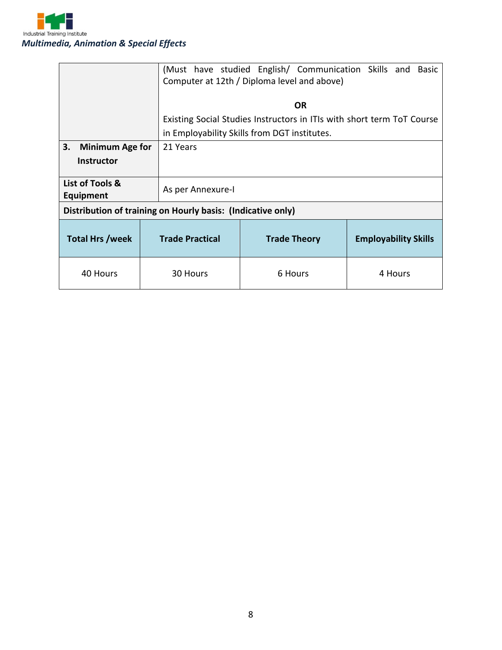

|                                     |                                                             | (Must have studied English/ Communication Skills and Basic<br>Computer at 12th / Diploma level and above) |         |  |
|-------------------------------------|-------------------------------------------------------------|-----------------------------------------------------------------------------------------------------------|---------|--|
|                                     |                                                             | <b>OR</b>                                                                                                 |         |  |
|                                     |                                                             | Existing Social Studies Instructors in ITIs with short term ToT Course                                    |         |  |
|                                     |                                                             | in Employability Skills from DGT institutes.                                                              |         |  |
| 3.<br><b>Minimum Age for</b>        | 21 Years                                                    |                                                                                                           |         |  |
| <b>Instructor</b>                   |                                                             |                                                                                                           |         |  |
| List of Tools &<br><b>Equipment</b> | As per Annexure-I                                           |                                                                                                           |         |  |
|                                     | Distribution of training on Hourly basis: (Indicative only) |                                                                                                           |         |  |
| <b>Total Hrs /week</b>              | <b>Trade Practical</b>                                      | <b>Employability Skills</b><br><b>Trade Theory</b>                                                        |         |  |
| 40 Hours                            | 30 Hours                                                    | 6 Hours                                                                                                   | 4 Hours |  |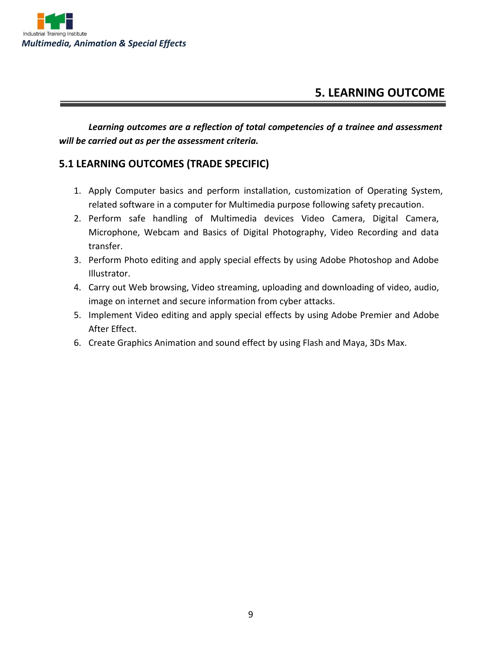

## **5. LEARNING OUTCOME**

*Learning outcomes are a reflection of total competencies of a trainee and assessment will be carried out as per the assessment criteria.*

#### **5.1 LEARNING OUTCOMES (TRADE SPECIFIC)**

- 1. Apply Computer basics and perform installation, customization of Operating System, related software in a computer for Multimedia purpose following safety precaution.
- 2. Perform safe handling of Multimedia devices Video Camera, Digital Camera, Microphone, Webcam and Basics of Digital Photography, Video Recording and data transfer.
- 3. Perform Photo editing and apply special effects by using Adobe Photoshop and Adobe Illustrator.
- 4. Carry out Web browsing, Video streaming, uploading and downloading of video, audio, image on internet and secure information from cyber attacks.
- 5. Implement Video editing and apply special effects by using Adobe Premier and Adobe After Effect.
- 6. Create Graphics Animation and sound effect by using Flash and Maya, 3Ds Max.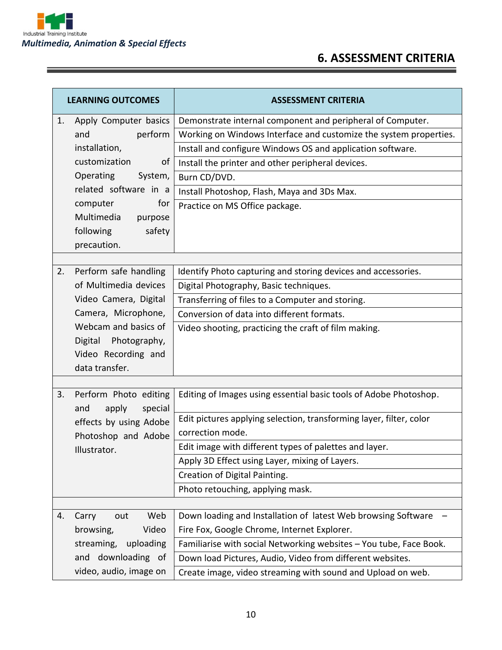

 $\equiv$ 

# **6. ASSESSMENT CRITERIA**

<u> 1989 - Johann Stein, marwolaethau a bh</u>

| <b>LEARNING OUTCOMES</b> |                                       | <b>ASSESSMENT CRITERIA</b>                                          |  |
|--------------------------|---------------------------------------|---------------------------------------------------------------------|--|
| 1.                       | Apply Computer basics                 | Demonstrate internal component and peripheral of Computer.          |  |
|                          | perform<br>and                        | Working on Windows Interface and customize the system properties.   |  |
|                          | installation,                         | Install and configure Windows OS and application software.          |  |
|                          | customization<br>of                   | Install the printer and other peripheral devices.                   |  |
|                          | Operating<br>System,                  | Burn CD/DVD.                                                        |  |
|                          | related software in a                 | Install Photoshop, Flash, Maya and 3Ds Max.                         |  |
|                          | for<br>computer                       | Practice on MS Office package.                                      |  |
|                          | Multimedia<br>purpose                 |                                                                     |  |
|                          | following<br>safety                   |                                                                     |  |
|                          | precaution.                           |                                                                     |  |
|                          |                                       |                                                                     |  |
| 2.                       | Perform safe handling                 | Identify Photo capturing and storing devices and accessories.       |  |
|                          | of Multimedia devices                 | Digital Photography, Basic techniques.                              |  |
|                          | Video Camera, Digital                 | Transferring of files to a Computer and storing.                    |  |
|                          | Camera, Microphone,                   | Conversion of data into different formats.                          |  |
|                          | Webcam and basics of                  | Video shooting, practicing the craft of film making.                |  |
|                          | Digital Photography,                  |                                                                     |  |
|                          | Video Recording and<br>data transfer. |                                                                     |  |
|                          |                                       |                                                                     |  |
| 3.                       | Perform Photo editing                 | Editing of Images using essential basic tools of Adobe Photoshop.   |  |
|                          | special<br>and<br>apply               |                                                                     |  |
|                          | effects by using Adobe                | Edit pictures applying selection, transforming layer, filter, color |  |
|                          | Photoshop and Adobe                   | correction mode.                                                    |  |
|                          | Illustrator.                          | Edit image with different types of palettes and layer.              |  |
|                          |                                       | Apply 3D Effect using Layer, mixing of Layers.                      |  |
|                          |                                       | Creation of Digital Painting.                                       |  |
|                          |                                       | Photo retouching, applying mask.                                    |  |
|                          |                                       |                                                                     |  |
| 4.                       | Web<br>Carry<br>out                   | Down loading and Installation of latest Web browsing Software       |  |
|                          | Video<br>browsing,                    | Fire Fox, Google Chrome, Internet Explorer.                         |  |
|                          | streaming,<br>uploading               | Familiarise with social Networking websites - You tube, Face Book.  |  |
| downloading of<br>and    |                                       | Down load Pictures, Audio, Video from different websites.           |  |
|                          | video, audio, image on                | Create image, video streaming with sound and Upload on web.         |  |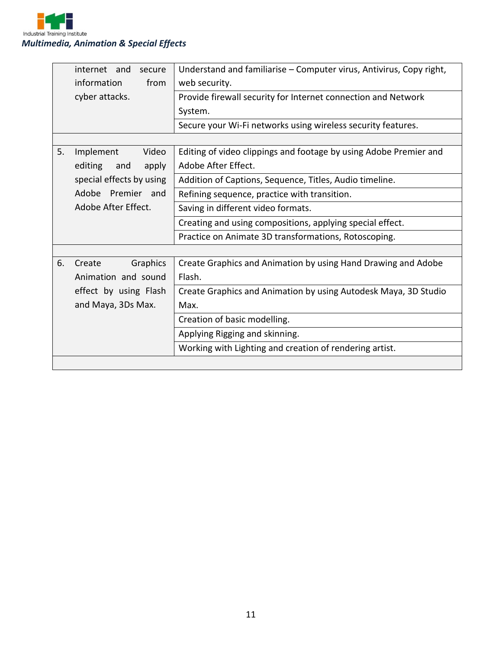

| internet and<br>secure   | Understand and familiarise - Computer virus, Antivirus, Copy right, |  |  |
|--------------------------|---------------------------------------------------------------------|--|--|
| information<br>from      | web security.                                                       |  |  |
| cyber attacks.           | Provide firewall security for Internet connection and Network       |  |  |
|                          | System.                                                             |  |  |
|                          | Secure your Wi-Fi networks using wireless security features.        |  |  |
|                          |                                                                     |  |  |
| 5.<br>Implement<br>Video | Editing of video clippings and footage by using Adobe Premier and   |  |  |
| editing<br>apply<br>and  | Adobe After Effect.                                                 |  |  |
| special effects by using | Addition of Captions, Sequence, Titles, Audio timeline.             |  |  |
| Adobe Premier and        | Refining sequence, practice with transition.                        |  |  |
| Adobe After Effect.      | Saving in different video formats.                                  |  |  |
|                          | Creating and using compositions, applying special effect.           |  |  |
|                          | Practice on Animate 3D transformations, Rotoscoping.                |  |  |
|                          |                                                                     |  |  |
| 6.<br>Graphics<br>Create | Create Graphics and Animation by using Hand Drawing and Adobe       |  |  |
| Animation and sound      | Flash.                                                              |  |  |
| effect by using Flash    | Create Graphics and Animation by using Autodesk Maya, 3D Studio     |  |  |
| and Maya, 3Ds Max.       | Max.                                                                |  |  |
|                          | Creation of basic modelling.                                        |  |  |
|                          | Applying Rigging and skinning.                                      |  |  |
|                          | Working with Lighting and creation of rendering artist.             |  |  |
|                          |                                                                     |  |  |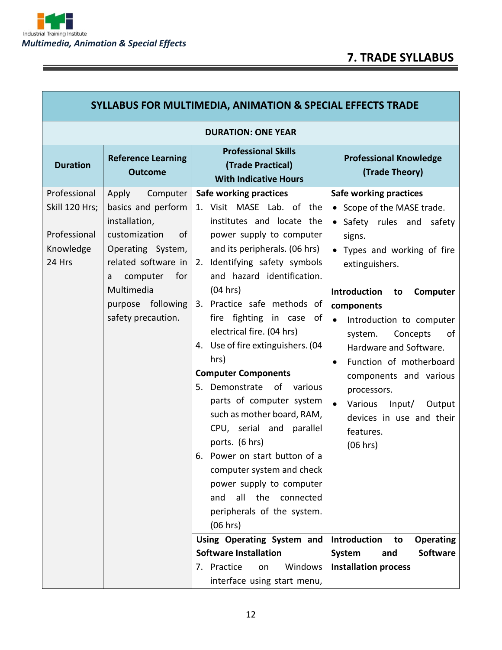<u> 1989 - Johann Stoff, deutscher Stoff, der Stoff, der Stoff, der Stoff, der Stoff, der Stoff, der Stoff, der S</u>

Ξ

Г

٦

| SYLLABUS FOR MULTIMEDIA, ANIMATION & SPECIAL EFFECTS TRADE            |                                                                                                                                                                                                                         |                                                                                                                                                                                                                                                                                                                                                                                                                                                                                                                                                                                                                                                                                                                                                                                                                                               |                                                                                                                                                                                                                                                                                                                                                                                                                                                                                                                                                                                                              |  |
|-----------------------------------------------------------------------|-------------------------------------------------------------------------------------------------------------------------------------------------------------------------------------------------------------------------|-----------------------------------------------------------------------------------------------------------------------------------------------------------------------------------------------------------------------------------------------------------------------------------------------------------------------------------------------------------------------------------------------------------------------------------------------------------------------------------------------------------------------------------------------------------------------------------------------------------------------------------------------------------------------------------------------------------------------------------------------------------------------------------------------------------------------------------------------|--------------------------------------------------------------------------------------------------------------------------------------------------------------------------------------------------------------------------------------------------------------------------------------------------------------------------------------------------------------------------------------------------------------------------------------------------------------------------------------------------------------------------------------------------------------------------------------------------------------|--|
| <b>DURATION: ONE YEAR</b>                                             |                                                                                                                                                                                                                         |                                                                                                                                                                                                                                                                                                                                                                                                                                                                                                                                                                                                                                                                                                                                                                                                                                               |                                                                                                                                                                                                                                                                                                                                                                                                                                                                                                                                                                                                              |  |
| <b>Duration</b>                                                       | <b>Reference Learning</b><br><b>Outcome</b>                                                                                                                                                                             | <b>Professional Skills</b><br>(Trade Practical)<br><b>With Indicative Hours</b>                                                                                                                                                                                                                                                                                                                                                                                                                                                                                                                                                                                                                                                                                                                                                               | <b>Professional Knowledge</b><br>(Trade Theory)                                                                                                                                                                                                                                                                                                                                                                                                                                                                                                                                                              |  |
| Professional<br>Skill 120 Hrs;<br>Professional<br>Knowledge<br>24 Hrs | Apply Computer<br>basics and perform<br>installation,<br>customization<br><sub>of</sub><br>Operating System,<br>related software in<br>computer<br>for<br>a<br>Multimedia<br>following<br>purpose<br>safety precaution. | <b>Safe working practices</b><br>1. Visit MASE Lab. of the<br>institutes and locate the<br>power supply to computer<br>and its peripherals. (06 hrs)<br>2. Identifying safety symbols<br>and hazard identification.<br>(04 hrs)<br>3. Practice safe methods of<br>fire fighting in case of<br>electrical fire. (04 hrs)<br>4. Use of fire extinguishers. (04<br>hrs)<br><b>Computer Components</b><br>5. Demonstrate of<br>various<br>parts of computer system<br>such as mother board, RAM,<br>CPU, serial and parallel<br>ports. (6 hrs)<br>6. Power on start button of a<br>computer system and check<br>power supply to computer<br>all<br>and<br>the<br>connected<br>peripherals of the system.<br>(06 hrs)<br>Using Operating System and<br><b>Software Installation</b><br>7. Practice<br>Windows<br>on<br>interface using start menu, | <b>Safe working practices</b><br>• Scope of the MASE trade.<br>• Safety rules and<br>safety<br>signs.<br>• Types and working of fire<br>extinguishers.<br><b>Introduction</b><br>Computer<br>to<br>components<br>Introduction to computer<br>$\bullet$<br>Concepts<br>of<br>system.<br>Hardware and Software.<br>Function of motherboard<br>$\bullet$<br>components and various<br>processors.<br>Various<br>Input/<br>Output<br>$\bullet$<br>devices in use and their<br>features.<br>(06 hrs)<br>Introduction<br><b>Operating</b><br>to<br>System<br><b>Software</b><br>and<br><b>Installation process</b> |  |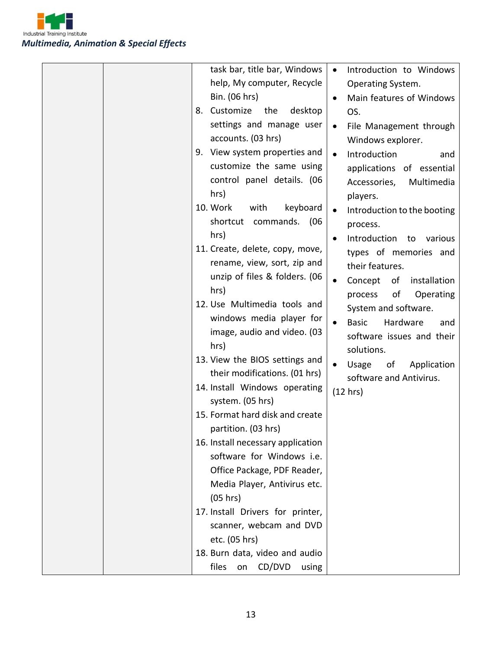

| task bar, title bar, Windows<br>help, My computer, Recycle<br>Bin. (06 hrs)<br>8. Customize<br>the<br>desktop<br>settings and manage user<br>accounts. (03 hrs)<br>9. View system properties and<br>customize the same using<br>control panel details. (06<br>hrs)<br>10. Work<br>with<br>keyboard<br>shortcut commands.<br>(06<br>hrs)<br>11. Create, delete, copy, move,<br>rename, view, sort, zip and<br>unzip of files & folders. (06<br>hrs)<br>12. Use Multimedia tools and<br>windows media player for<br>image, audio and video. (03<br>hrs)<br>13. View the BIOS settings and<br>their modifications. (01 hrs)<br>14. Install Windows operating<br>system. (05 hrs)<br>15. Format hard disk and create<br>partition. (03 hrs)<br>16. Install necessary application<br>software for Windows i.e. | Introduction to Windows<br>$\bullet$<br>Operating System.<br>Main features of Windows<br>$\bullet$<br>OS.<br>File Management through<br>$\bullet$<br>Windows explorer.<br>Introduction<br>and<br>$\bullet$<br>applications of essential<br>Multimedia<br>Accessories,<br>players.<br>Introduction to the booting<br>$\bullet$<br>process.<br>Introduction to<br>various<br>$\bullet$<br>types of memories and<br>their features.<br>of installation<br>Concept<br>$\bullet$<br>of<br>Operating<br>process<br>System and software.<br><b>Basic</b><br>Hardware<br>and<br>software issues and their<br>solutions.<br>Application<br>Usage<br>of<br>$\bullet$<br>software and Antivirus.<br>(12 hrs) |
|-----------------------------------------------------------------------------------------------------------------------------------------------------------------------------------------------------------------------------------------------------------------------------------------------------------------------------------------------------------------------------------------------------------------------------------------------------------------------------------------------------------------------------------------------------------------------------------------------------------------------------------------------------------------------------------------------------------------------------------------------------------------------------------------------------------|---------------------------------------------------------------------------------------------------------------------------------------------------------------------------------------------------------------------------------------------------------------------------------------------------------------------------------------------------------------------------------------------------------------------------------------------------------------------------------------------------------------------------------------------------------------------------------------------------------------------------------------------------------------------------------------------------|
| Office Package, PDF Reader,<br>Media Player, Antivirus etc.<br>(05 hrs)<br>17. Install Drivers for printer,<br>scanner, webcam and DVD<br>etc. (05 hrs)<br>18. Burn data, video and audio<br>files<br>CD/DVD<br>on<br>using                                                                                                                                                                                                                                                                                                                                                                                                                                                                                                                                                                               |                                                                                                                                                                                                                                                                                                                                                                                                                                                                                                                                                                                                                                                                                                   |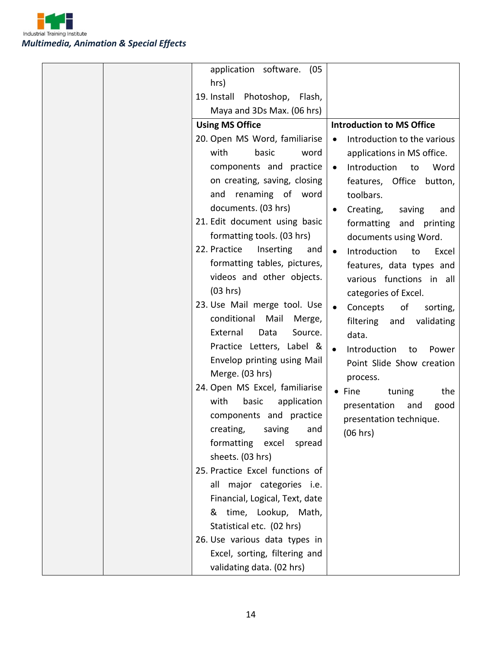

| application software. (05                           |                                          |
|-----------------------------------------------------|------------------------------------------|
| hrs)                                                |                                          |
| 19. Install Photoshop, Flash,                       |                                          |
| Maya and 3Ds Max. (06 hrs)                          |                                          |
| <b>Using MS Office</b>                              | <b>Introduction to MS Office</b>         |
| 20. Open MS Word, familiarise                       | Introduction to the various<br>$\bullet$ |
| with<br>basic<br>word                               | applications in MS office.               |
| components and practice                             | Introduction<br>to<br>Word<br>$\bullet$  |
| on creating, saving, closing                        | features, Office<br>button,              |
| and renaming of word                                | toolbars.                                |
| documents. (03 hrs)                                 | Creating,<br>saving<br>and<br>٠          |
| 21. Edit document using basic                       | formatting and printing                  |
| formatting tools. (03 hrs)                          | documents using Word.                    |
| 22. Practice<br>Inserting<br>and                    | Introduction<br>Excel<br>to<br>$\bullet$ |
| formatting tables, pictures,                        | features, data types and                 |
| videos and other objects.                           | various functions in all                 |
| (03 hrs)                                            | categories of Excel.                     |
| 23. Use Mail merge tool. Use                        | Concepts<br>of<br>sorting,<br>$\bullet$  |
| conditional Mail<br>Merge,                          | filtering and                            |
| External<br>Data<br>Source.                         | validating<br>data.                      |
| Practice Letters, Label &                           | $\bullet$                                |
| Envelop printing using Mail                         | Introduction<br>to<br>Power              |
| Merge. (03 hrs)                                     | Point Slide Show creation                |
| 24. Open MS Excel, familiarise                      | process.                                 |
| with<br>basic<br>application                        | $\bullet$ Fine<br>tuning<br>the          |
| components and practice                             | presentation<br>and<br>good              |
| creating, saving and                                | presentation technique.                  |
|                                                     | (06 hrs)                                 |
| formatting excel<br>spread                          |                                          |
| sheets. (03 hrs)<br>25. Practice Excel functions of |                                          |
|                                                     |                                          |
| all major categories i.e.                           |                                          |
| Financial, Logical, Text, date                      |                                          |
| & time, Lookup, Math,                               |                                          |
| Statistical etc. (02 hrs)                           |                                          |
| 26. Use various data types in                       |                                          |
| Excel, sorting, filtering and                       |                                          |
| validating data. (02 hrs)                           |                                          |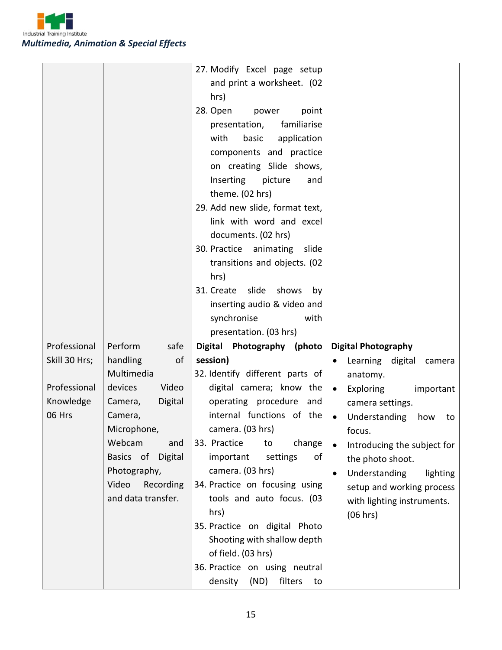

|               |                    | 27. Modify Excel page setup      |                                         |
|---------------|--------------------|----------------------------------|-----------------------------------------|
|               |                    | and print a worksheet. (02       |                                         |
|               |                    | hrs)                             |                                         |
|               |                    | 28. Open<br>power<br>point       |                                         |
|               |                    | familiarise<br>presentation,     |                                         |
|               |                    | with<br>basic<br>application     |                                         |
|               |                    | components and practice          |                                         |
|               |                    | on creating Slide shows,         |                                         |
|               |                    | Inserting<br>picture<br>and      |                                         |
|               |                    | theme. (02 hrs)                  |                                         |
|               |                    |                                  |                                         |
|               |                    | 29. Add new slide, format text,  |                                         |
|               |                    | link with word and excel         |                                         |
|               |                    | documents. (02 hrs)              |                                         |
|               |                    | 30. Practice animating<br>slide  |                                         |
|               |                    | transitions and objects. (02     |                                         |
|               |                    | hrs)                             |                                         |
|               |                    | 31. Create slide shows<br>by     |                                         |
|               |                    | inserting audio & video and      |                                         |
|               |                    | synchronise<br>with              |                                         |
|               |                    | presentation. (03 hrs)           |                                         |
| Professional  | Perform<br>safe    | Digital Photography (photo       | <b>Digital Photography</b>              |
| Skill 30 Hrs; | handling<br>of     | session)                         | Learning digital camera                 |
|               | Multimedia         | 32. Identify different parts of  | anatomy.                                |
| Professional  | devices<br>Video   | digital camera; know the         | Exploring<br>important<br>$\bullet$     |
| Knowledge     | Digital<br>Camera, | operating procedure and          | camera settings.                        |
| 06 Hrs        | Camera,            | internal functions of the        | Understanding<br>how<br>$\bullet$<br>to |
|               | Microphone,        | camera. (03 hrs)                 | focus.                                  |
|               | Webcam<br>and      | 33. Practice<br>change<br>to     | Introducing the subject for             |
|               | Basics of Digital  | important<br>settings<br>of      | the photo shoot.                        |
|               | Photography,       | camera. (03 hrs)                 | Understanding<br>lighting<br>$\bullet$  |
|               | Recording<br>Video | 34. Practice on focusing using   | setup and working process               |
|               | and data transfer. | tools and auto focus. (03        | with lighting instruments.              |
|               |                    | hrs)                             | (06 hrs)                                |
|               |                    | 35. Practice on digital Photo    |                                         |
|               |                    | Shooting with shallow depth      |                                         |
|               |                    | of field. (03 hrs)               |                                         |
|               |                    | 36. Practice on using neutral    |                                         |
|               |                    | density<br>(ND)<br>filters<br>to |                                         |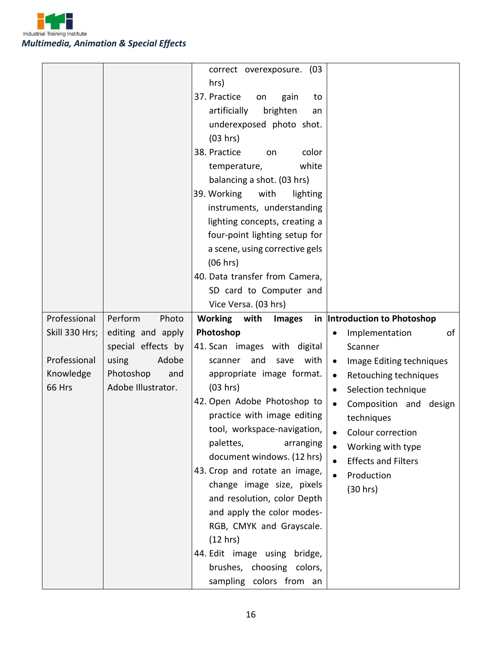

|                |                    | correct overexposure. (03        |                                       |
|----------------|--------------------|----------------------------------|---------------------------------------|
|                |                    | hrs)                             |                                       |
|                |                    | 37. Practice<br>gain<br>on<br>to |                                       |
|                |                    | artificially<br>brighten<br>an   |                                       |
|                |                    | underexposed photo shot.         |                                       |
|                |                    | (03 hrs)                         |                                       |
|                |                    | 38. Practice<br>color<br>on      |                                       |
|                |                    | white<br>temperature,            |                                       |
|                |                    | balancing a shot. (03 hrs)       |                                       |
|                |                    | 39. Working<br>with<br>lighting  |                                       |
|                |                    | instruments, understanding       |                                       |
|                |                    | lighting concepts, creating a    |                                       |
|                |                    | four-point lighting setup for    |                                       |
|                |                    | a scene, using corrective gels   |                                       |
|                |                    | (06 hrs)                         |                                       |
|                |                    | 40. Data transfer from Camera,   |                                       |
|                |                    | SD card to Computer and          |                                       |
|                |                    | Vice Versa. (03 hrs)             |                                       |
| Professional   | Perform<br>Photo   | Working with<br><b>Images</b>    | in  Introduction to Photoshop         |
| Skill 330 Hrs; | editing and apply  | Photoshop                        | Implementation<br>of<br>$\bullet$     |
|                | special effects by | 41. Scan images with digital     | Scanner                               |
| Professional   | using<br>Adobe     | with<br>and<br>save<br>scanner   | Image Editing techniques<br>$\bullet$ |
| Knowledge      | Photoshop<br>and   | appropriate image format.        | Retouching techniques<br>$\bullet$    |
| 66 Hrs         | Adobe Illustrator. | (03 hrs)                         | Selection technique<br>$\bullet$      |
|                |                    | 42. Open Adobe Photoshop to      | Composition and design<br>$\bullet$   |
|                |                    | practice with image editing      | techniques                            |
|                |                    | tool, workspace-navigation,      | Colour correction                     |
|                |                    | palettes,<br>arranging           | Working with type<br>$\bullet$        |
|                |                    | document windows. (12 hrs)       | <b>Effects and Filters</b>            |
|                |                    | 43. Crop and rotate an image,    | $\bullet$<br>Production               |
|                |                    | change image size, pixels        | (30 hrs)                              |
|                |                    | and resolution, color Depth      |                                       |
|                |                    | and apply the color modes-       |                                       |
|                |                    | RGB, CMYK and Grayscale.         |                                       |
|                |                    | (12 hrs)                         |                                       |
|                |                    | 44. Edit image using bridge,     |                                       |
|                |                    | brushes, choosing colors,        |                                       |
|                |                    | sampling colors from an          |                                       |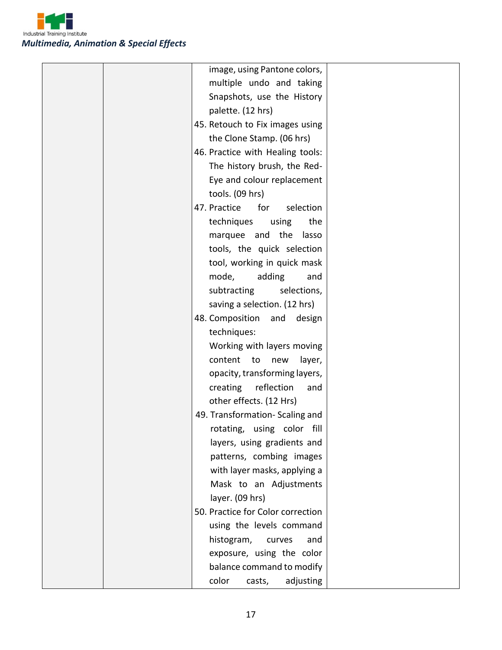

|  | image, using Pantone colors,      |  |
|--|-----------------------------------|--|
|  | multiple undo and taking          |  |
|  | Snapshots, use the History        |  |
|  | palette. (12 hrs)                 |  |
|  | 45. Retouch to Fix images using   |  |
|  | the Clone Stamp. (06 hrs)         |  |
|  | 46. Practice with Healing tools:  |  |
|  | The history brush, the Red-       |  |
|  | Eye and colour replacement        |  |
|  | tools. (09 hrs)                   |  |
|  | 47. Practice<br>for<br>selection  |  |
|  | techniques<br>the<br>using        |  |
|  | marquee and the<br>lasso          |  |
|  | tools, the quick selection        |  |
|  | tool, working in quick mask       |  |
|  | mode,<br>adding<br>and            |  |
|  | subtracting<br>selections,        |  |
|  | saving a selection. (12 hrs)      |  |
|  | 48. Composition and<br>design     |  |
|  | techniques:                       |  |
|  | Working with layers moving        |  |
|  | content<br>layer,<br>to<br>new    |  |
|  | opacity, transforming layers,     |  |
|  | reflection<br>creating<br>and     |  |
|  | other effects. (12 Hrs)           |  |
|  | 49. Transformation-Scaling and    |  |
|  | rotating, using color fill        |  |
|  | layers, using gradients and       |  |
|  | patterns, combing images          |  |
|  | with layer masks, applying a      |  |
|  | Mask to an Adjustments            |  |
|  | layer. (09 hrs)                   |  |
|  | 50. Practice for Color correction |  |
|  | using the levels command          |  |
|  | histogram,<br>curves<br>and       |  |
|  | exposure, using the color         |  |
|  | balance command to modify         |  |
|  | color<br>adjusting<br>casts,      |  |
|  |                                   |  |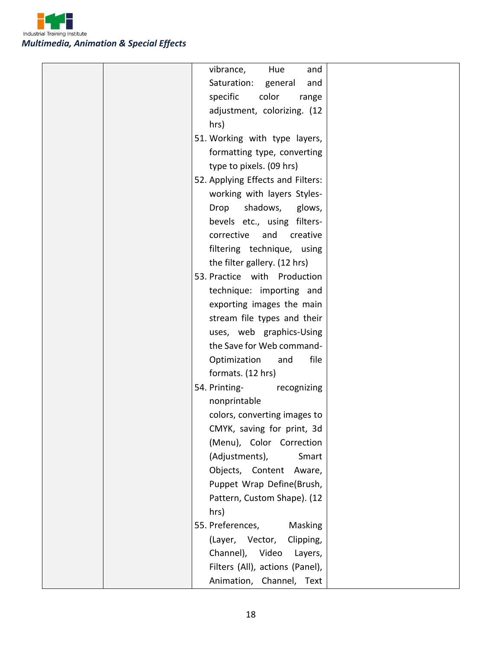

|  | vibrance,<br>Hue<br>and           |  |
|--|-----------------------------------|--|
|  | Saturation:<br>general<br>and     |  |
|  | color<br>specific<br>range        |  |
|  | adjustment, colorizing. (12       |  |
|  | hrs)                              |  |
|  | 51. Working with type layers,     |  |
|  | formatting type, converting       |  |
|  | type to pixels. (09 hrs)          |  |
|  | 52. Applying Effects and Filters: |  |
|  | working with layers Styles-       |  |
|  | shadows,<br>glows,<br>Drop        |  |
|  | bevels etc., using filters-       |  |
|  | corrective<br>and<br>creative     |  |
|  | filtering technique, using        |  |
|  | the filter gallery. (12 hrs)      |  |
|  | 53. Practice with Production      |  |
|  |                                   |  |
|  | technique: importing and          |  |
|  | exporting images the main         |  |
|  | stream file types and their       |  |
|  | uses, web graphics-Using          |  |
|  | the Save for Web command-         |  |
|  | Optimization<br>file<br>and       |  |
|  | formats. (12 hrs)                 |  |
|  | 54. Printing-<br>recognizing      |  |
|  | nonprintable                      |  |
|  | colors, converting images to      |  |
|  | CMYK, saving for print, 3d        |  |
|  | (Menu), Color Correction          |  |
|  | (Adjustments),<br>Smart           |  |
|  | Objects, Content<br>Aware,        |  |
|  | Puppet Wrap Define(Brush,         |  |
|  | Pattern, Custom Shape). (12       |  |
|  | hrs)                              |  |
|  | 55. Preferences,<br>Masking       |  |
|  | Clipping,<br>(Layer, Vector,      |  |
|  | Channel), Video Layers,           |  |
|  | Filters (All), actions (Panel),   |  |
|  |                                   |  |
|  | Animation, Channel, Text          |  |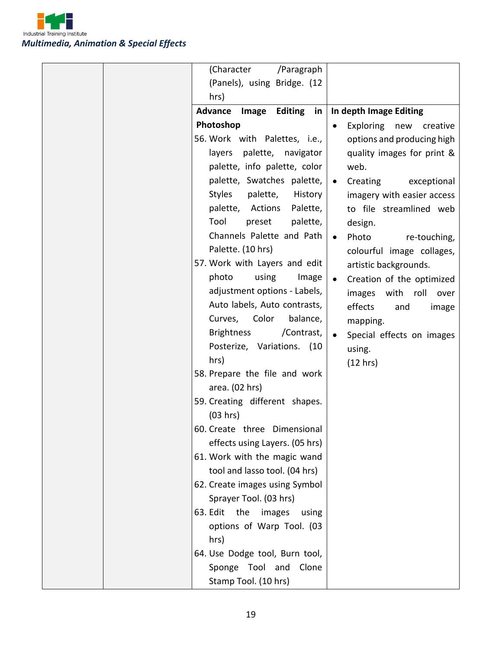

|  | (Character<br>/Paragraph           |                                        |
|--|------------------------------------|----------------------------------------|
|  | (Panels), using Bridge. (12        |                                        |
|  | hrs)                               |                                        |
|  | Editing in<br>Advance Image        | In depth Image Editing                 |
|  | Photoshop                          | <b>Exploring</b><br>new creative       |
|  | 56. Work with Palettes, i.e.,      | options and producing high             |
|  | layers palette, navigator          | quality images for print &             |
|  | palette, info palette, color       | web.                                   |
|  | palette, Swatches palette,         | Creating<br>exceptional<br>$\bullet$   |
|  | Styles<br>palette,<br>History      | imagery with easier access             |
|  | palette, Actions<br>Palette,       | to file streamlined web                |
|  | Tool<br>preset<br>palette,         | design.                                |
|  | Channels Palette and Path          | Photo<br>re-touching,<br>$\bullet$     |
|  | Palette. (10 hrs)                  | colourful image collages,              |
|  | 57. Work with Layers and edit      | artistic backgrounds.                  |
|  | using<br>photo<br>Image            | Creation of the optimized<br>$\bullet$ |
|  | adjustment options - Labels,       | images with roll<br>over               |
|  | Auto labels, Auto contrasts,       | effects<br>and<br>image                |
|  | Color<br>balance,<br>Curves,       | mapping.                               |
|  | <b>Brightness</b><br>/Contrast,    | Special effects on images              |
|  | Posterize, Variations. (10         | using.                                 |
|  | hrs)                               | (12 hrs)                               |
|  | 58. Prepare the file and work      |                                        |
|  | area. (02 hrs)                     |                                        |
|  | 59. Creating different shapes.     |                                        |
|  | (03 hrs)                           |                                        |
|  | 60. Create three Dimensional       |                                        |
|  | effects using Layers. (05 hrs)     |                                        |
|  | 61. Work with the magic wand       |                                        |
|  | tool and lasso tool. (04 hrs)      |                                        |
|  | 62. Create images using Symbol     |                                        |
|  | Sprayer Tool. (03 hrs)             |                                        |
|  | 63. Edit<br>the<br>images<br>using |                                        |
|  | options of Warp Tool. (03          |                                        |
|  | hrs)                               |                                        |
|  | 64. Use Dodge tool, Burn tool,     |                                        |
|  | Sponge Tool and<br>Clone           |                                        |
|  | Stamp Tool. (10 hrs)               |                                        |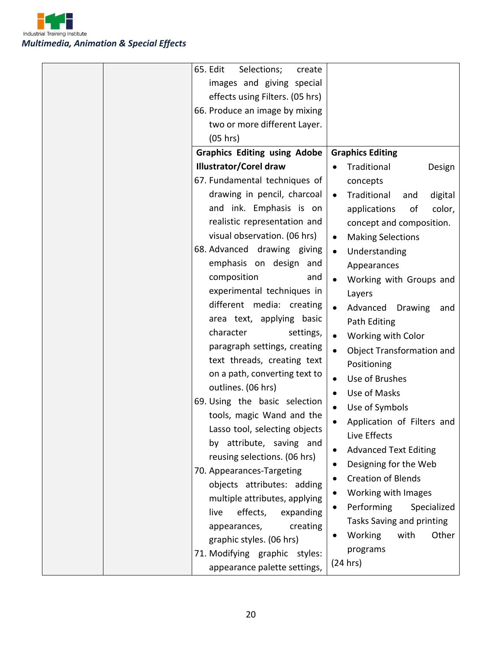

| 65. Edit<br>Selections;<br>create<br>images and giving special<br>effects using Filters. (05 hrs)<br>66. Produce an image by mixing<br>two or more different Layer.<br>(05 hrs)<br><b>Graphics Editing using Adobe</b><br><b>Illustrator/Corel draw</b><br>67. Fundamental techniques of                                                                                                                                                                                                                                                                                                                                                                                                             | <b>Graphics Editing</b><br>Traditional<br>Design<br>$\bullet$<br>concepts                                                                                                                                                                                                                                                                                                                                                                                                                                                                                                                                                                                                                                                                  |
|------------------------------------------------------------------------------------------------------------------------------------------------------------------------------------------------------------------------------------------------------------------------------------------------------------------------------------------------------------------------------------------------------------------------------------------------------------------------------------------------------------------------------------------------------------------------------------------------------------------------------------------------------------------------------------------------------|--------------------------------------------------------------------------------------------------------------------------------------------------------------------------------------------------------------------------------------------------------------------------------------------------------------------------------------------------------------------------------------------------------------------------------------------------------------------------------------------------------------------------------------------------------------------------------------------------------------------------------------------------------------------------------------------------------------------------------------------|
| drawing in pencil, charcoal<br>and ink. Emphasis is on<br>realistic representation and<br>visual observation. (06 hrs)<br>68. Advanced drawing giving<br>emphasis on design and<br>composition<br>and<br>experimental techniques in<br>different media: creating<br>area text, applying basic<br>character<br>settings,<br>paragraph settings, creating<br>text threads, creating text<br>on a path, converting text to<br>outlines. (06 hrs)<br>69. Using the basic selection<br>tools, magic Wand and the<br>Lasso tool, selecting objects<br>by attribute, saving and<br>reusing selections. (06 hrs)<br>70. Appearances-Targeting<br>objects attributes: adding<br>multiple attributes, applying | Traditional<br>digital<br>and<br>$\bullet$<br>applications<br>of<br>color,<br>concept and composition.<br><b>Making Selections</b><br>$\bullet$<br>Understanding<br>$\bullet$<br>Appearances<br>Working with Groups and<br>$\bullet$<br>Layers<br>Advanced<br><b>Drawing</b><br>and<br>Path Editing<br>Working with Color<br>$\bullet$<br><b>Object Transformation and</b><br>$\bullet$<br>Positioning<br>Use of Brushes<br>$\bullet$<br>Use of Masks<br>$\bullet$<br>Use of Symbols<br>$\bullet$<br>Application of Filters and<br>$\bullet$<br>Live Effects<br><b>Advanced Text Editing</b><br>$\bullet$<br>Designing for the Web<br>٠<br><b>Creation of Blends</b><br>٠<br>Working with Images<br>Performing<br>Specialized<br>$\bullet$ |
| live<br>effects,<br>expanding<br>appearances,<br>creating<br>graphic styles. (06 hrs)<br>71. Modifying graphic styles:<br>appearance palette settings,                                                                                                                                                                                                                                                                                                                                                                                                                                                                                                                                               | Tasks Saving and printing<br><b>Working</b><br>with<br>Other<br>٠<br>programs<br>(24 hrs)                                                                                                                                                                                                                                                                                                                                                                                                                                                                                                                                                                                                                                                  |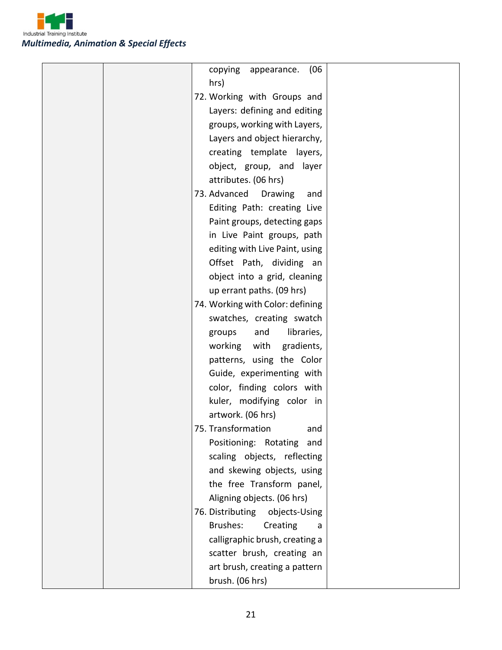

|  | (06)<br>copying appearance.<br>hrs) |  |
|--|-------------------------------------|--|
|  | 72. Working with Groups and         |  |
|  | Layers: defining and editing        |  |
|  | groups, working with Layers,        |  |
|  | Layers and object hierarchy,        |  |
|  | creating template layers,           |  |
|  | object, group, and layer            |  |
|  | attributes. (06 hrs)                |  |
|  | 73. Advanced Drawing<br>and         |  |
|  | Editing Path: creating Live         |  |
|  | Paint groups, detecting gaps        |  |
|  | in Live Paint groups, path          |  |
|  | editing with Live Paint, using      |  |
|  | Offset Path, dividing an            |  |
|  | object into a grid, cleaning        |  |
|  | up errant paths. (09 hrs)           |  |
|  | 74. Working with Color: defining    |  |
|  | swatches, creating swatch           |  |
|  | libraries,<br>and<br>groups         |  |
|  | working with<br>gradients,          |  |
|  | patterns, using the Color           |  |
|  | Guide, experimenting with           |  |
|  | color, finding colors with          |  |
|  | kuler, modifying color in           |  |
|  | artwork. (06 hrs)                   |  |
|  | 75. Transformation<br>and           |  |
|  | Positioning: Rotating and           |  |
|  | scaling objects, reflecting         |  |
|  | and skewing objects, using          |  |
|  | the free Transform panel,           |  |
|  | Aligning objects. (06 hrs)          |  |
|  | 76. Distributing<br>objects-Using   |  |
|  | Brushes:<br>Creating<br>a           |  |
|  | calligraphic brush, creating a      |  |
|  | scatter brush, creating an          |  |
|  | art brush, creating a pattern       |  |
|  | brush. (06 hrs)                     |  |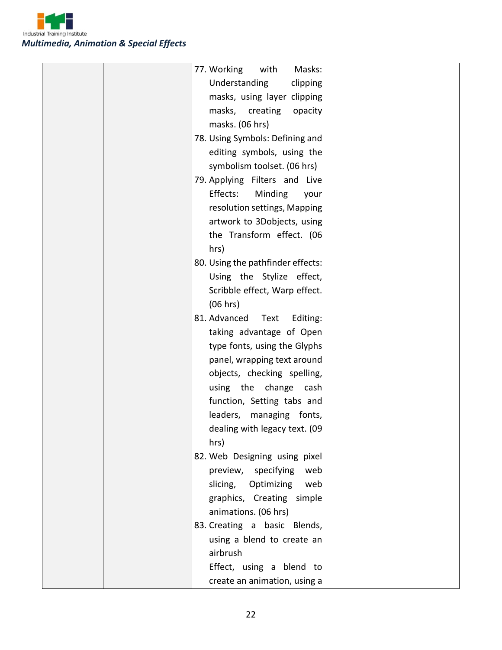

|  | 77. Working<br>Masks:<br>with     |  |
|--|-----------------------------------|--|
|  | Understanding<br>clipping         |  |
|  | masks, using layer clipping       |  |
|  | masks, creating<br>opacity        |  |
|  | masks. (06 hrs)                   |  |
|  | 78. Using Symbols: Defining and   |  |
|  | editing symbols, using the        |  |
|  | symbolism toolset. (06 hrs)       |  |
|  | 79. Applying Filters and Live     |  |
|  | Effects:<br>Minding<br>your       |  |
|  | resolution settings, Mapping      |  |
|  | artwork to 3Dobjects, using       |  |
|  | the Transform effect. (06         |  |
|  | hrs)                              |  |
|  | 80. Using the pathfinder effects: |  |
|  | Using the Stylize effect,         |  |
|  | Scribble effect, Warp effect.     |  |
|  | (06 hrs)                          |  |
|  | 81. Advanced<br>Text<br>Editing:  |  |
|  | taking advantage of Open          |  |
|  | type fonts, using the Glyphs      |  |
|  | panel, wrapping text around       |  |
|  | objects, checking spelling,       |  |
|  | using the change<br>cash          |  |
|  | function, Setting tabs and        |  |
|  | leaders, managing fonts,          |  |
|  | dealing with legacy text. (09     |  |
|  | hrs)                              |  |
|  | 82. Web Designing using pixel     |  |
|  | preview, specifying<br>web        |  |
|  | slicing, Optimizing<br>web        |  |
|  | graphics, Creating simple         |  |
|  | animations. (06 hrs)              |  |
|  | 83. Creating a basic Blends,      |  |
|  | using a blend to create an        |  |
|  | airbrush                          |  |
|  | Effect, using a blend to          |  |
|  | create an animation, using a      |  |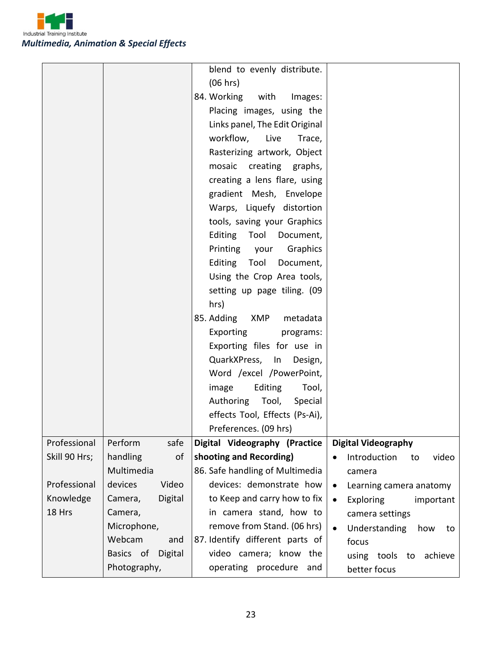

|                     |                               | blend to evenly distribute.<br>(06 hrs)                 |                                            |
|---------------------|-------------------------------|---------------------------------------------------------|--------------------------------------------|
|                     |                               | 84. Working<br>with<br>Images:                          |                                            |
|                     |                               | Placing images, using the                               |                                            |
|                     |                               | Links panel, The Edit Original                          |                                            |
|                     |                               | workflow,<br>Live<br>Trace,                             |                                            |
|                     |                               | Rasterizing artwork, Object                             |                                            |
|                     |                               | mosaic creating graphs,                                 |                                            |
|                     |                               | creating a lens flare, using                            |                                            |
|                     |                               | gradient Mesh, Envelope                                 |                                            |
|                     |                               | Warps, Liquefy distortion                               |                                            |
|                     |                               | tools, saving your Graphics                             |                                            |
|                     |                               | Editing Tool Document,                                  |                                            |
|                     |                               | Printing your<br>Graphics                               |                                            |
|                     |                               | Editing Tool<br>Document,                               |                                            |
|                     |                               | Using the Crop Area tools,                              |                                            |
|                     |                               | setting up page tiling. (09                             |                                            |
|                     |                               | hrs)                                                    |                                            |
|                     |                               | 85. Adding XMP<br>metadata                              |                                            |
|                     |                               | Exporting<br>programs:                                  |                                            |
|                     |                               | Exporting files for use in                              |                                            |
|                     |                               | QuarkXPress, In Design,                                 |                                            |
|                     |                               | Word /excel /PowerPoint,                                |                                            |
|                     |                               | Editing<br>image<br>Tool,                               |                                            |
|                     |                               | Authoring Tool,<br>Special                              |                                            |
|                     |                               | effects Tool, Effects (Ps-Ai),                          |                                            |
|                     |                               | Preferences. (09 hrs)                                   |                                            |
| Professional        | safe<br>Perform               | Digital Videography (Practice                           | <b>Digital Videography</b>                 |
| Skill 90 Hrs;       | handling<br>of                | shooting and Recording)                                 | Introduction<br>video<br>$\bullet$<br>to   |
|                     | Multimedia                    | 86. Safe handling of Multimedia                         | camera                                     |
| Professional        | Video<br>devices              | devices: demonstrate how                                | Learning camera anatomy<br>$\bullet$       |
| Knowledge<br>18 Hrs | Digital<br>Camera,<br>Camera, | to Keep and carry how to fix<br>in camera stand, how to | <b>Exploring</b><br>important<br>$\bullet$ |
|                     | Microphone,                   | remove from Stand. (06 hrs)                             | camera settings                            |
|                     | Webcam<br>and                 | 87. Identify different parts of                         | Understanding<br>how<br>$\bullet$<br>to    |
|                     | Digital<br>Basics of          | video camera; know the                                  | focus                                      |
|                     | Photography,                  | operating procedure<br>and                              | using tools to<br>achieve<br>better focus  |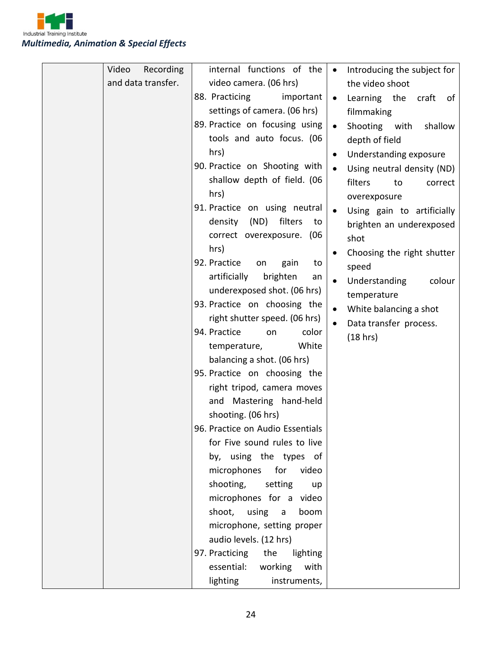

|  | Video<br>Recording | internal functions of the        | Introducing the subject for<br>$\bullet$ |
|--|--------------------|----------------------------------|------------------------------------------|
|  | and data transfer. | video camera. (06 hrs)           | the video shoot                          |
|  |                    | 88. Practicing<br>important      | Learning the<br>craft<br>of<br>$\bullet$ |
|  |                    | settings of camera. (06 hrs)     | filmmaking                               |
|  |                    | 89. Practice on focusing using   | Shooting with<br>shallow<br>$\bullet$    |
|  |                    | tools and auto focus. (06        | depth of field                           |
|  |                    | hrs)                             | Understanding exposure<br>$\bullet$      |
|  |                    | 90. Practice on Shooting with    | Using neutral density (ND)<br>$\bullet$  |
|  |                    | shallow depth of field. (06      | filters<br>to<br>correct                 |
|  |                    | hrs)                             | overexposure                             |
|  |                    | 91. Practice on using neutral    | Using gain to artificially<br>$\bullet$  |
|  |                    | filters<br>density<br>(ND)<br>to | brighten an underexposed                 |
|  |                    | correct overexposure. (06        | shot                                     |
|  |                    | hrs)                             | Choosing the right shutter<br>$\bullet$  |
|  |                    | 92. Practice<br>gain<br>on<br>to | speed                                    |
|  |                    | artificially<br>brighten<br>an   | Understanding<br>colour<br>$\bullet$     |
|  |                    | underexposed shot. (06 hrs)      | temperature                              |
|  |                    | 93. Practice on choosing the     | White balancing a shot<br>$\bullet$      |
|  |                    | right shutter speed. (06 hrs)    | Data transfer process.                   |
|  |                    | 94. Practice<br>color<br>on      | (18 hrs)                                 |
|  |                    | White<br>temperature,            |                                          |
|  |                    | balancing a shot. (06 hrs)       |                                          |
|  |                    | 95. Practice on choosing the     |                                          |
|  |                    | right tripod, camera moves       |                                          |
|  |                    | and Mastering hand-held          |                                          |
|  |                    | shooting. (06 hrs)               |                                          |
|  |                    | 96. Practice on Audio Essentials |                                          |
|  |                    | for Five sound rules to live     |                                          |
|  |                    | by, using the types of           |                                          |
|  |                    | microphones for<br>video         |                                          |
|  |                    | shooting, setting<br>up          |                                          |
|  |                    | microphones for a video          |                                          |
|  |                    | shoot, using<br>boom<br>a        |                                          |
|  |                    | microphone, setting proper       |                                          |
|  |                    | audio levels. (12 hrs)           |                                          |
|  |                    | 97. Practicing the<br>lighting   |                                          |
|  |                    | essential: working<br>with       |                                          |
|  |                    | lighting<br>instruments,         |                                          |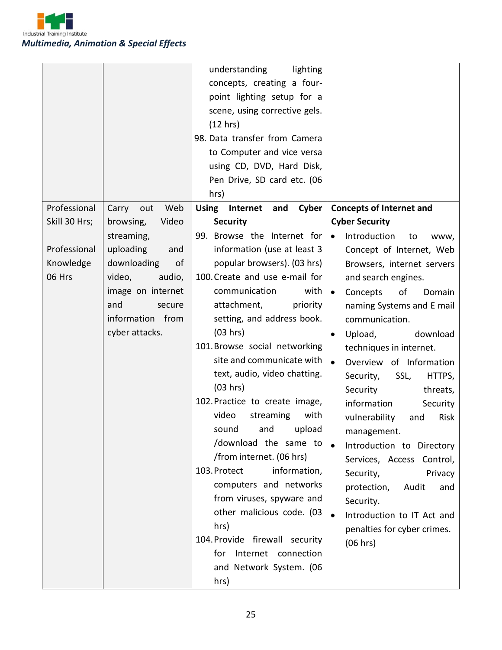

|                                                      |                                                                                                                                                                           | understanding<br>lighting<br>concepts, creating a four-<br>point lighting setup for a<br>scene, using corrective gels.<br>(12 hrs)<br>98. Data transfer from Camera<br>to Computer and vice versa<br>using CD, DVD, Hard Disk,<br>Pen Drive, SD card etc. (06<br>hrs)                                                                                                                                                                                                                                                                                                                  |                                                                                                                                                                                                                                                                                                                                                                                                                                                                                                                                                                                                                 |
|------------------------------------------------------|---------------------------------------------------------------------------------------------------------------------------------------------------------------------------|----------------------------------------------------------------------------------------------------------------------------------------------------------------------------------------------------------------------------------------------------------------------------------------------------------------------------------------------------------------------------------------------------------------------------------------------------------------------------------------------------------------------------------------------------------------------------------------|-----------------------------------------------------------------------------------------------------------------------------------------------------------------------------------------------------------------------------------------------------------------------------------------------------------------------------------------------------------------------------------------------------------------------------------------------------------------------------------------------------------------------------------------------------------------------------------------------------------------|
| Professional                                         | Carry out<br>Web                                                                                                                                                          | Using Internet<br>Cyber<br>and                                                                                                                                                                                                                                                                                                                                                                                                                                                                                                                                                         | <b>Concepts of Internet and</b>                                                                                                                                                                                                                                                                                                                                                                                                                                                                                                                                                                                 |
| Skill 30 Hrs;<br>Professional<br>Knowledge<br>06 Hrs | browsing,<br>Video<br>streaming,<br>uploading<br>and<br>downloading<br>of<br>video,<br>audio,<br>image on internet<br>and<br>secure<br>information from<br>cyber attacks. | <b>Security</b><br>99. Browse the Internet for<br>information (use at least 3<br>popular browsers). (03 hrs)<br>100. Create and use e-mail for<br>communication<br>with<br>attachment,<br>priority<br>setting, and address book.<br>(03 hrs)<br>101. Browse social networking<br>site and communicate with<br>text, audio, video chatting.<br>(03 hrs)<br>102. Practice to create image,<br>video<br>streaming<br>with<br>sound and upload<br>/download the same to<br>/from internet. (06 hrs)<br>103. Protect<br>information,<br>computers and networks<br>from viruses, spyware and | <b>Cyber Security</b><br>Introduction<br>$\bullet$<br>to<br>www,<br>Concept of Internet, Web<br>Browsers, internet servers<br>and search engines.<br>Concepts<br>of<br>Domain<br>$\bullet$<br>naming Systems and E mail<br>communication.<br>Upload,<br>download<br>$\bullet$<br>techniques in internet.<br>Overview of Information<br>$\bullet$<br>SSL,<br>HTTPS,<br>Security,<br>Security<br>threats,<br>information<br>Security<br>vulnerability<br>Risk<br>and<br>management.<br>Introduction to Directory<br>Services, Access Control,<br>Privacy<br>Security,<br>protection,<br>Audit<br>and<br>Security. |
|                                                      |                                                                                                                                                                           | other malicious code. (03<br>hrs)<br>104. Provide firewall security<br>Internet connection<br>for<br>and Network System. (06<br>hrs)                                                                                                                                                                                                                                                                                                                                                                                                                                                   | Introduction to IT Act and<br>penalties for cyber crimes.<br>(06 hrs)                                                                                                                                                                                                                                                                                                                                                                                                                                                                                                                                           |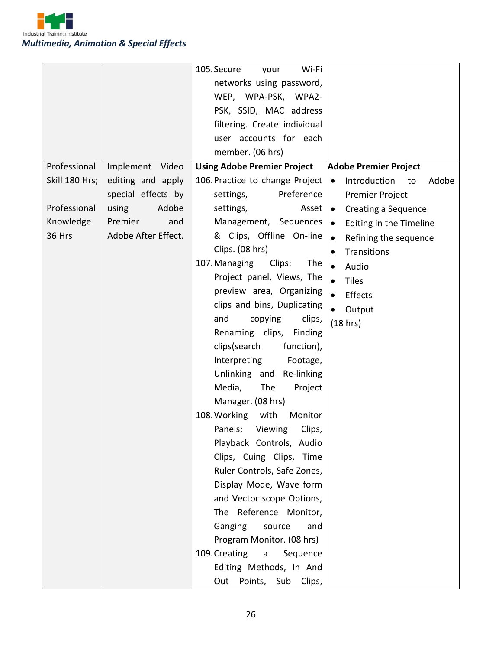

|                |                     | 105. Secure<br>Wi-Fi<br>your              |                                          |
|----------------|---------------------|-------------------------------------------|------------------------------------------|
|                |                     | networks using password,                  |                                          |
|                |                     | WEP, WPA-PSK, WPA2-                       |                                          |
|                |                     | PSK, SSID, MAC address                    |                                          |
|                |                     | filtering. Create individual              |                                          |
|                |                     | user accounts for each                    |                                          |
|                |                     | member. (06 hrs)                          |                                          |
| Professional   | Implement Video     | <b>Using Adobe Premier Project</b>        | <b>Adobe Premier Project</b>             |
| Skill 180 Hrs; | editing and apply   | 106. Practice to change Project           | Introduction<br>Adobe<br>$\bullet$<br>to |
|                | special effects by  | Preference<br>settings,                   | Premier Project                          |
| Professional   | using<br>Adobe      | settings,<br>Asset $\bullet$              | Creating a Sequence                      |
| Knowledge      | Premier<br>and      | Management, Sequences                     | Editing in the Timeline<br>$\bullet$     |
| 36 Hrs         | Adobe After Effect. | & Clips, Offline On-line                  | Refining the sequence<br>$\bullet$       |
|                |                     | Clips. (08 hrs)                           | Transitions<br>$\bullet$                 |
|                |                     | Clips:<br>107. Managing<br>The            | $\bullet$<br>Audio                       |
|                |                     | Project panel, Views, The                 | $\bullet$<br><b>Tiles</b>                |
|                |                     | preview area, Organizing                  | $\bullet$<br>Effects                     |
|                |                     | clips and bins, Duplicating               | $\bullet$<br>Output                      |
|                |                     | copying<br>clips,<br>and                  | (18 hrs)                                 |
|                |                     | Renaming clips,<br>Finding                |                                          |
|                |                     | clips (search<br>function),               |                                          |
|                |                     | Interpreting<br>Footage,                  |                                          |
|                |                     | Unlinking and Re-linking                  |                                          |
|                |                     | Media,<br>The<br>Project                  |                                          |
|                |                     | Manager. (08 hrs)                         |                                          |
|                |                     | 108. Working<br>with<br>Monitor           |                                          |
|                |                     | Panels: Viewing Clips,                    |                                          |
|                |                     | Playback Controls, Audio                  |                                          |
|                |                     | Clips, Cuing Clips, Time                  |                                          |
|                |                     | Ruler Controls, Safe Zones,               |                                          |
|                |                     | Display Mode, Wave form                   |                                          |
|                |                     | and Vector scope Options,                 |                                          |
|                |                     | The Reference Monitor,                    |                                          |
|                |                     | Ganging<br>source<br>and                  |                                          |
|                |                     | Program Monitor. (08 hrs)                 |                                          |
|                |                     | 109. Creating<br>Sequence<br>$\mathsf{a}$ |                                          |
|                |                     | Editing Methods, In And                   |                                          |
|                |                     | Points, Sub Clips,<br>Out                 |                                          |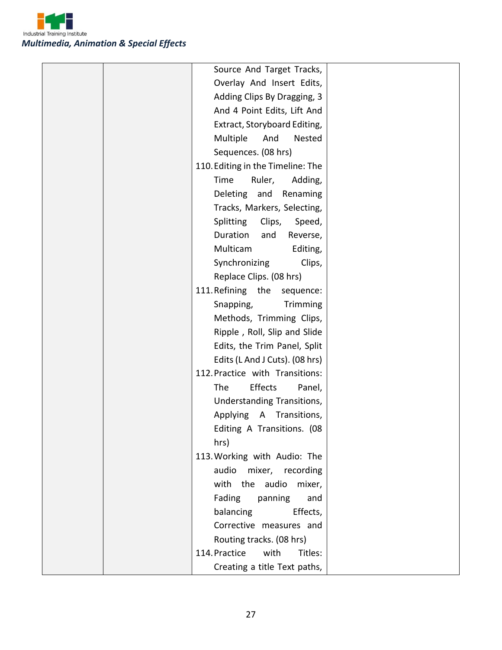

| Source And Target Tracks,                |  |
|------------------------------------------|--|
| Overlay And Insert Edits,                |  |
| Adding Clips By Dragging, 3              |  |
| And 4 Point Edits, Lift And              |  |
| Extract, Storyboard Editing,             |  |
| Multiple<br>And<br>Nested                |  |
| Sequences. (08 hrs)                      |  |
| 110. Editing in the Timeline: The        |  |
| Time<br>Ruler,<br>Adding,                |  |
| Deleting and<br>Renaming                 |  |
| Tracks, Markers, Selecting,              |  |
| Splitting<br>Clips,<br>Speed,            |  |
| Duration<br>and<br>Reverse,              |  |
| Multicam<br>Editing,                     |  |
| Synchronizing<br>Clips,                  |  |
| Replace Clips. (08 hrs)                  |  |
| 111. Refining the<br>sequence:           |  |
| Snapping,<br>Trimming                    |  |
| Methods, Trimming Clips,                 |  |
| Ripple, Roll, Slip and Slide             |  |
| Edits, the Trim Panel, Split             |  |
| Edits (L And J Cuts). (08 hrs)           |  |
| 112. Practice with Transitions:          |  |
| Effects<br>The<br>Panel,                 |  |
| Understanding Transitions,               |  |
| Applying<br>$\mathsf{A}$<br>Transitions, |  |
| Editing A Transitions. (08               |  |
| hrs)                                     |  |
| 113. Working with Audio: The             |  |
| audio<br>mixer, recording                |  |
| with the audio<br>mixer,                 |  |
| Fading<br>panning<br>and                 |  |
| balancing<br>Effects,                    |  |
| Corrective measures and                  |  |
| Routing tracks. (08 hrs)                 |  |
| 114. Practice<br>with<br>Titles:         |  |
| Creating a title Text paths,             |  |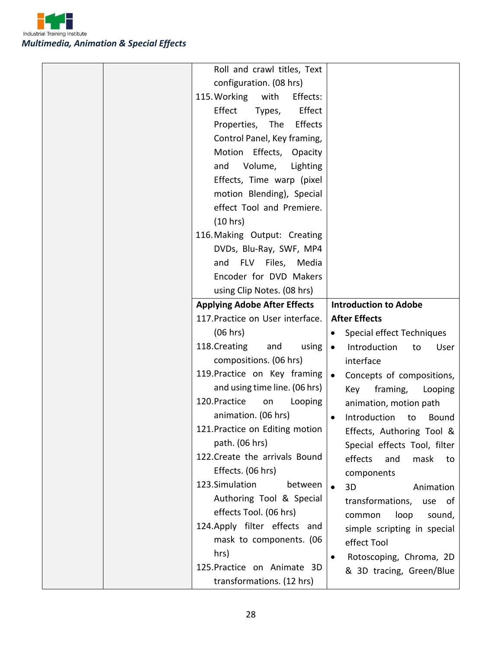

| Roll and crawl titles, Text         |                                                     |
|-------------------------------------|-----------------------------------------------------|
| configuration. (08 hrs)             |                                                     |
| 115. Working<br>with<br>Effects:    |                                                     |
| Effect<br>Effect<br>Types,          |                                                     |
| Properties, The<br>Effects          |                                                     |
| Control Panel, Key framing,         |                                                     |
| Motion Effects, Opacity             |                                                     |
| and<br>Volume,<br>Lighting          |                                                     |
| Effects, Time warp (pixel           |                                                     |
| motion Blending), Special           |                                                     |
| effect Tool and Premiere.           |                                                     |
| (10 hrs)                            |                                                     |
| 116. Making Output: Creating        |                                                     |
| DVDs, Blu-Ray, SWF, MP4             |                                                     |
| and FLV Files, Media                |                                                     |
| Encoder for DVD Makers              |                                                     |
| using Clip Notes. (08 hrs)          |                                                     |
| <b>Applying Adobe After Effects</b> | <b>Introduction to Adobe</b>                        |
| 117. Practice on User interface.    | <b>After Effects</b>                                |
| (06 hrs)                            | Special effect Techniques<br>$\bullet$              |
| 118. Creating<br>and<br>using       | Introduction<br>User<br>$\bullet$<br>to             |
| compositions. (06 hrs)              | interface                                           |
| 119. Practice on Key framing        | Concepts of compositions,<br>$\bullet$              |
| and using time line. (06 hrs)       | framing,<br>Key<br>Looping                          |
| 120. Practice<br>Looping<br>on      | animation, motion path                              |
| animation. (06 hrs)                 | Introduction<br>to<br>Bound<br>$\bullet$            |
| 121. Practice on Editing motion     | Effects, Authoring Tool &                           |
| path. (06 hrs)                      | Special effects Tool, filter                        |
| 122. Create the arrivals Bound      | effects<br>and<br>mask<br>to                        |
| Effects. (06 hrs)                   | components                                          |
| 123.Simulation<br>between           | 3D<br>Animation                                     |
| Authoring Tool & Special            | transformations,<br>use of                          |
| effects Tool. (06 hrs)              | loop<br>common<br>sound,                            |
| 124. Apply filter effects and       | simple scripting in special                         |
| mask to components. (06             | effect Tool                                         |
|                                     |                                                     |
| hrs)                                | $\bullet$                                           |
| 125. Practice on Animate 3D         | Rotoscoping, Chroma, 2D<br>& 3D tracing, Green/Blue |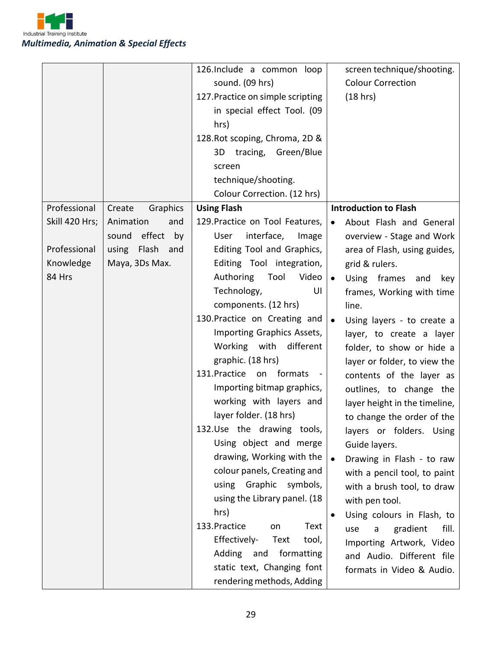Industrial Training Institute *Multimedia, Animation & Special Effects*

|                                                                       |                                                                                                         | 126. Include a common loop<br>sound. (09 hrs)<br>127. Practice on simple scripting<br>in special effect Tool. (09<br>hrs)<br>128. Rot scoping, Chroma, 2D &<br>tracing, Green/Blue<br>3D<br>screen<br>technique/shooting.<br>Colour Correction. (12 hrs)                                                                                                                                                                                                                                                                                                                                                                                                                                                                                                                                                                                | screen technique/shooting.<br><b>Colour Correction</b><br>(18 hrs)                                                                                                                                                                                                                                                                                                                                                                                                                                                                                                                                                                                                                                                                                                                                                         |
|-----------------------------------------------------------------------|---------------------------------------------------------------------------------------------------------|-----------------------------------------------------------------------------------------------------------------------------------------------------------------------------------------------------------------------------------------------------------------------------------------------------------------------------------------------------------------------------------------------------------------------------------------------------------------------------------------------------------------------------------------------------------------------------------------------------------------------------------------------------------------------------------------------------------------------------------------------------------------------------------------------------------------------------------------|----------------------------------------------------------------------------------------------------------------------------------------------------------------------------------------------------------------------------------------------------------------------------------------------------------------------------------------------------------------------------------------------------------------------------------------------------------------------------------------------------------------------------------------------------------------------------------------------------------------------------------------------------------------------------------------------------------------------------------------------------------------------------------------------------------------------------|
| Professional<br>Skill 420 Hrs;<br>Professional<br>Knowledge<br>84 Hrs | Create<br>Graphics<br>Animation<br>and<br>effect<br>sound<br>by<br>using Flash<br>and<br>Maya, 3Ds Max. | <b>Using Flash</b><br>129. Practice on Tool Features,<br>User<br>interface,<br>Image<br>Editing Tool and Graphics,<br>Editing Tool integration,<br>Authoring<br>Tool<br>Video<br>Technology,<br>UI<br>components. (12 hrs)<br>130. Practice on Creating and<br>Importing Graphics Assets,<br>Working with different<br>graphic. (18 hrs)<br>131. Practice<br>formats<br>on<br>$\qquad \qquad \blacksquare$<br>Importing bitmap graphics,<br>working with layers and<br>layer folder. (18 hrs)<br>132.Use the drawing tools,<br>Using object and merge<br>drawing, Working with the<br>colour panels, Creating and<br>using Graphic symbols,<br>using the Library panel. (18<br>hrs)<br>133. Practice<br>Text<br>on<br>Effectively-<br>Text<br>tool,<br>Adding and formatting<br>static text, Changing font<br>rendering methods, Adding | <b>Introduction to Flash</b><br>About Flash and General<br>$\bullet$<br>overview - Stage and Work<br>area of Flash, using guides,<br>grid & rulers.<br>Using frames<br>and<br>key<br>$\bullet$<br>frames, Working with time<br>line.<br>Using layers - to create a<br>$\bullet$<br>layer, to create a layer<br>folder, to show or hide a<br>layer or folder, to view the<br>contents of the layer as<br>outlines, to change the<br>layer height in the timeline,<br>to change the order of the<br>layers or folders. Using<br>Guide layers.<br>Drawing in Flash - to raw<br>$\bullet$<br>with a pencil tool, to paint<br>with a brush tool, to draw<br>with pen tool.<br>Using colours in Flash, to<br>gradient<br>fill.<br>use<br>a<br>Importing Artwork, Video<br>and Audio. Different file<br>formats in Video & Audio. |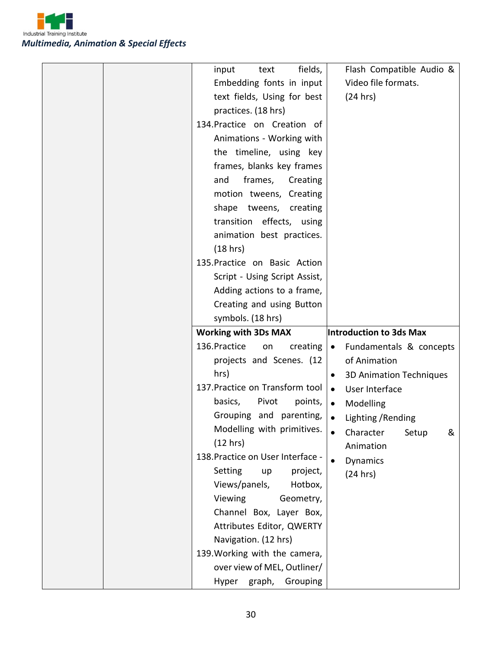

|  | fields,<br>input<br>text             | Flash Compatible Audio &                    |
|--|--------------------------------------|---------------------------------------------|
|  | Embedding fonts in input             | Video file formats.                         |
|  | text fields, Using for best          | (24 hrs)                                    |
|  | practices. (18 hrs)                  |                                             |
|  | 134. Practice on Creation of         |                                             |
|  | Animations - Working with            |                                             |
|  | the timeline, using key              |                                             |
|  | frames, blanks key frames            |                                             |
|  | and<br>frames,<br>Creating           |                                             |
|  | motion tweens, Creating              |                                             |
|  | shape tweens, creating               |                                             |
|  | transition effects, using            |                                             |
|  | animation best practices.            |                                             |
|  | (18 hrs)                             |                                             |
|  | 135. Practice on Basic Action        |                                             |
|  | Script - Using Script Assist,        |                                             |
|  | Adding actions to a frame,           |                                             |
|  | Creating and using Button            |                                             |
|  | symbols. (18 hrs)                    |                                             |
|  |                                      |                                             |
|  | <b>Working with 3Ds MAX</b>          | Introduction to 3ds Max                     |
|  | 136. Practice<br>on<br>creating      | Fundamentals & concepts<br>$\bullet$        |
|  | projects and Scenes. (12             | of Animation                                |
|  | hrs)                                 | <b>3D Animation Techniques</b><br>$\bullet$ |
|  | 137. Practice on Transform tool      | User Interface<br>$\bullet$                 |
|  | basics,<br>Pivot<br>points,          | Modelling<br>$\bullet$                      |
|  | Grouping and parenting,              | Lighting / Rending<br>$\bullet$             |
|  | Modelling with primitives.           | Character<br>Setup<br>&                     |
|  | (12 hrs)                             | Animation                                   |
|  | 138. Practice on User Interface -    | Dynamics                                    |
|  | Setting<br>project,<br>up            | (24 hrs)                                    |
|  | Views/panels,<br>Hotbox,             |                                             |
|  | Viewing<br>Geometry,                 |                                             |
|  | Channel Box, Layer Box,              |                                             |
|  | Attributes Editor, QWERTY            |                                             |
|  | Navigation. (12 hrs)                 |                                             |
|  | 139. Working with the camera,        |                                             |
|  | over view of MEL, Outliner/<br>Hyper |                                             |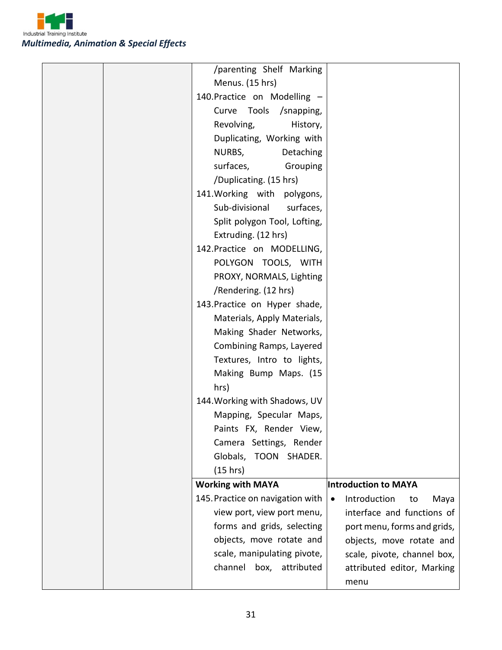

| /parenting Shelf Marking         |                                         |
|----------------------------------|-----------------------------------------|
| Menus. (15 hrs)                  |                                         |
| 140. Practice on Modelling -     |                                         |
| Curve Tools<br>/snapping,        |                                         |
| Revolving,<br>History,           |                                         |
| Duplicating, Working with        |                                         |
| Detaching<br>NURBS,              |                                         |
| surfaces,<br>Grouping            |                                         |
| /Duplicating. (15 hrs)           |                                         |
| 141. Working with polygons,      |                                         |
| Sub-divisional<br>surfaces,      |                                         |
| Split polygon Tool, Lofting,     |                                         |
| Extruding. (12 hrs)              |                                         |
| 142. Practice on MODELLING,      |                                         |
| POLYGON TOOLS, WITH              |                                         |
| PROXY, NORMALS, Lighting         |                                         |
| /Rendering. (12 hrs)             |                                         |
| 143. Practice on Hyper shade,    |                                         |
| Materials, Apply Materials,      |                                         |
| Making Shader Networks,          |                                         |
| Combining Ramps, Layered         |                                         |
| Textures, Intro to lights,       |                                         |
| Making Bump Maps. (15            |                                         |
| hrs)                             |                                         |
| 144. Working with Shadows, UV    |                                         |
| Mapping, Specular Maps,          |                                         |
| Paints FX, Render View,          |                                         |
| Camera Settings, Render          |                                         |
| Globals, TOON SHADER.            |                                         |
| (15 hrs)                         |                                         |
| <b>Working with MAYA</b>         | <b>Introduction to MAYA</b>             |
| 145. Practice on navigation with | Introduction<br>Maya<br>to<br>$\bullet$ |
| view port, view port menu,       | interface and functions of              |
| forms and grids, selecting       | port menu, forms and grids,             |
| objects, move rotate and         | objects, move rotate and                |
| scale, manipulating pivote,      | scale, pivote, channel box,             |
| channel box, attributed          | attributed editor, Marking              |
|                                  | menu                                    |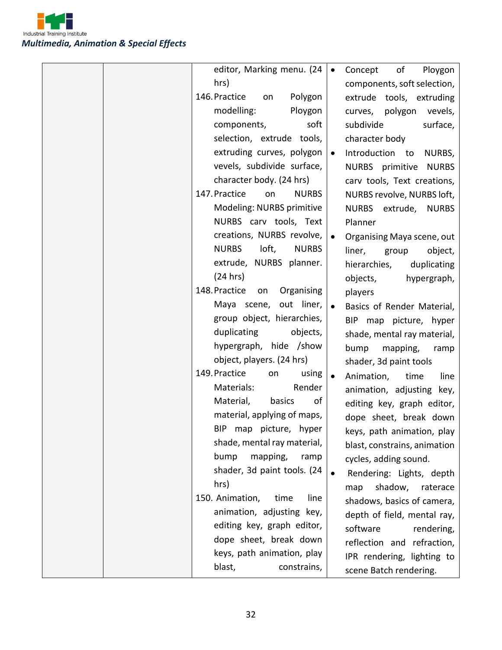Industrial Training Institute *Multimedia, Animation & Special Effects*

|  | editor, Marking menu. (24             | $\bullet$ | Concept<br>of<br>Ploygon      |
|--|---------------------------------------|-----------|-------------------------------|
|  | hrs)                                  |           | components, soft selection,   |
|  | 146. Practice<br>Polygon<br>on        |           | extrude tools, extruding      |
|  | modelling:<br>Ploygon                 |           | polygon<br>vevels,<br>curves, |
|  | components,<br>soft                   |           | subdivide<br>surface,         |
|  | selection, extrude tools,             |           | character body                |
|  | extruding curves, polygon             | $\bullet$ | Introduction to<br>NURBS,     |
|  | vevels, subdivide surface,            |           | NURBS primitive NURBS         |
|  | character body. (24 hrs)              |           | carv tools, Text creations,   |
|  | 147. Practice<br><b>NURBS</b><br>on   |           | NURBS revolve, NURBS loft,    |
|  | Modeling: NURBS primitive             |           | NURBS extrude, NURBS          |
|  | NURBS carv tools, Text                |           | Planner                       |
|  | creations, NURBS revolve,  .          |           | Organising Maya scene, out    |
|  | <b>NURBS</b><br>loft,<br><b>NURBS</b> |           | liner,<br>group<br>object,    |
|  | extrude, NURBS planner.               |           | hierarchies,<br>duplicating   |
|  | (24 hrs)                              |           | objects,<br>hypergraph,       |
|  | 148. Practice<br>Organising<br>on     |           | players                       |
|  | Maya scene, out liner,                | $\bullet$ | Basics of Render Material,    |
|  | group object, hierarchies,            |           | BIP map picture, hyper        |
|  | duplicating<br>objects,               |           | shade, mental ray material,   |
|  | hypergraph, hide /show                |           | bump<br>mapping,<br>ramp      |
|  | object, players. (24 hrs)             |           | shader, 3d paint tools        |
|  | 149. Practice<br>using<br>on          | $\bullet$ | Animation,<br>time<br>line    |
|  | Render<br>Materials:                  |           | animation, adjusting key,     |
|  | basics<br>Material,<br>of             |           | editing key, graph editor,    |
|  | material, applying of maps,           |           | dope sheet, break down        |
|  | BIP map picture, hyper                |           | keys, path animation, play    |
|  | shade, mental ray material,           |           | blast, constrains, animation  |
|  | bump<br>mapping,<br>ramp              |           | cycles, adding sound.         |
|  | shader, 3d paint tools. (24           | $\bullet$ | Rendering: Lights, depth      |
|  | hrs)                                  |           | shadow,<br>raterace<br>map    |
|  | 150. Animation,<br>time<br>line       |           | shadows, basics of camera,    |
|  | animation, adjusting key,             |           | depth of field, mental ray,   |
|  | editing key, graph editor,            |           | software<br>rendering,        |
|  | dope sheet, break down                |           | reflection and refraction,    |
|  | keys, path animation, play            |           | IPR rendering, lighting to    |
|  | blast,<br>constrains,                 |           | scene Batch rendering.        |
|  |                                       |           |                               |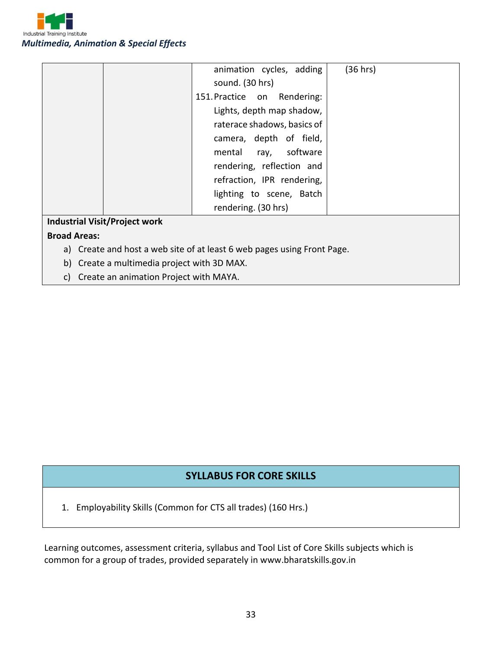

|                                      | animation cycles, adding    | (36 hrs) |
|--------------------------------------|-----------------------------|----------|
|                                      | sound. (30 hrs)             |          |
|                                      | 151. Practice on Rendering: |          |
|                                      | Lights, depth map shadow,   |          |
|                                      | raterace shadows, basics of |          |
|                                      | camera, depth of field,     |          |
|                                      | software<br>mental ray,     |          |
|                                      | rendering, reflection and   |          |
|                                      | refraction, IPR rendering,  |          |
|                                      | lighting to scene, Batch    |          |
|                                      | rendering. (30 hrs)         |          |
| <b>Industrial Visit/Project work</b> |                             |          |

#### **Broad Areas:**

- a) Create and host a web site of at least 6 web pages using Front Page.
- b) Create a multimedia project with 3D MAX.
- c) Create an animation Project with MAYA.

#### **SYLLABUS FOR CORE SKILLS**

1. Employability Skills (Common for CTS all trades) (160 Hrs.)

Learning outcomes, assessment criteria, syllabus and Tool List of Core Skills subjects which is common for a group of trades, provided separately in www.bharatskills.gov.in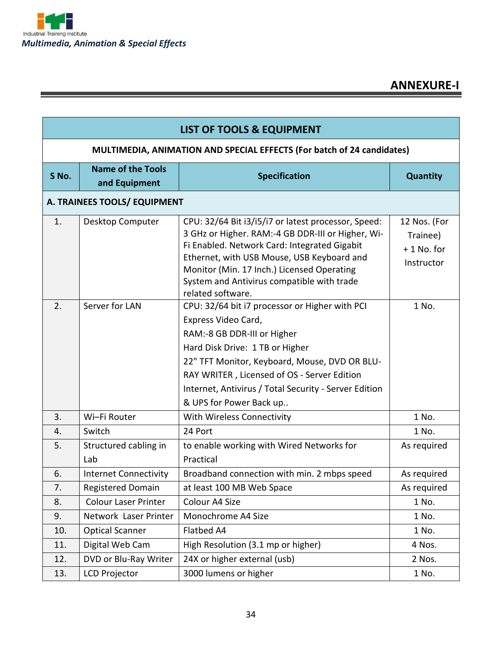| <b>LIST OF TOOLS &amp; EQUIPMENT</b> |                                                                        |                                                                                                                                                                                                                                                                                                                             |                                                        |  |
|--------------------------------------|------------------------------------------------------------------------|-----------------------------------------------------------------------------------------------------------------------------------------------------------------------------------------------------------------------------------------------------------------------------------------------------------------------------|--------------------------------------------------------|--|
|                                      | MULTIMEDIA, ANIMATION AND SPECIAL EFFECTS (For batch of 24 candidates) |                                                                                                                                                                                                                                                                                                                             |                                                        |  |
| S No.                                | <b>Name of the Tools</b><br><b>Specification</b><br>and Equipment      |                                                                                                                                                                                                                                                                                                                             |                                                        |  |
|                                      | A. TRAINEES TOOLS/ EQUIPMENT                                           |                                                                                                                                                                                                                                                                                                                             |                                                        |  |
| 1.                                   | Desktop Computer                                                       | CPU: 32/64 Bit i3/i5/i7 or latest processor, Speed:<br>3 GHz or Higher. RAM:-4 GB DDR-III or Higher, Wi-<br>Fi Enabled. Network Card: Integrated Gigabit<br>Ethernet, with USB Mouse, USB Keyboard and<br>Monitor (Min. 17 Inch.) Licensed Operating<br>System and Antivirus compatible with trade<br>related software.     | 12 Nos. (For<br>Trainee)<br>$+1$ No. for<br>Instructor |  |
| 2.                                   | Server for LAN                                                         | CPU: 32/64 bit i7 processor or Higher with PCI<br>Express Video Card,<br>RAM:-8 GB DDR-III or Higher<br>Hard Disk Drive: 1 TB or Higher<br>22" TFT Monitor, Keyboard, Mouse, DVD OR BLU-<br>RAY WRITER, Licensed of OS - Server Edition<br>Internet, Antivirus / Total Security - Server Edition<br>& UPS for Power Back up | 1 No.                                                  |  |
| 3.                                   | Wi-Fi Router                                                           | With Wireless Connectivity                                                                                                                                                                                                                                                                                                  | 1 No.                                                  |  |
| 4.                                   | Switch                                                                 | 24 Port                                                                                                                                                                                                                                                                                                                     | 1 No.                                                  |  |
| 5.                                   | Structured cabling in<br>Lab                                           | to enable working with Wired Networks for<br>Practical                                                                                                                                                                                                                                                                      | As required                                            |  |
| 6.                                   | <b>Internet Connectivity</b>                                           | Broadband connection with min. 2 mbps speed                                                                                                                                                                                                                                                                                 | As required                                            |  |
| 7.                                   | Registered Domain                                                      | at least 100 MB Web Space                                                                                                                                                                                                                                                                                                   | As required                                            |  |
| 8.                                   | <b>Colour Laser Printer</b>                                            | Colour A4 Size                                                                                                                                                                                                                                                                                                              | 1 No.                                                  |  |
| 9.                                   | Network Laser Printer                                                  | Monochrome A4 Size                                                                                                                                                                                                                                                                                                          | 1 No.                                                  |  |
| 10.                                  | <b>Optical Scanner</b>                                                 | Flatbed A4                                                                                                                                                                                                                                                                                                                  | 1 No.                                                  |  |
| 11.                                  | Digital Web Cam                                                        | High Resolution (3.1 mp or higher)                                                                                                                                                                                                                                                                                          | 4 Nos.                                                 |  |
| 12.                                  | DVD or Blu-Ray Writer                                                  | 24X or higher external (usb)                                                                                                                                                                                                                                                                                                | 2 Nos.                                                 |  |
| 13.                                  | <b>LCD Projector</b>                                                   | 3000 lumens or higher                                                                                                                                                                                                                                                                                                       | 1 No.                                                  |  |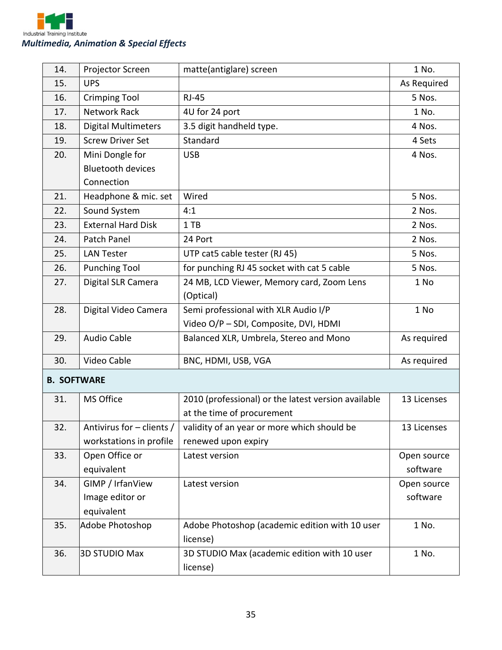

| 14.                | Projector Screen           | matte(antiglare) screen                             | 1 No.       |
|--------------------|----------------------------|-----------------------------------------------------|-------------|
| 15.                | <b>UPS</b>                 |                                                     | As Required |
| 16.                | <b>Crimping Tool</b>       | <b>RJ-45</b>                                        | 5 Nos.      |
| 17.                | <b>Network Rack</b>        | 4U for 24 port                                      | 1 No.       |
| 18.                | <b>Digital Multimeters</b> | 3.5 digit handheld type.                            | 4 Nos.      |
| 19.                | <b>Screw Driver Set</b>    | Standard                                            | 4 Sets      |
| 20.                | Mini Dongle for            | <b>USB</b>                                          | 4 Nos.      |
|                    | <b>Bluetooth devices</b>   |                                                     |             |
|                    | Connection                 |                                                     |             |
| 21.                | Headphone & mic. set       | Wired                                               | 5 Nos.      |
| 22.                | Sound System               | 4:1                                                 | 2 Nos.      |
| 23.                | <b>External Hard Disk</b>  | 1 TB                                                | 2 Nos.      |
| 24.                | Patch Panel                | 24 Port                                             | 2 Nos.      |
| 25.                | <b>LAN Tester</b>          | UTP cat5 cable tester (RJ 45)                       | 5 Nos.      |
| 26.                | <b>Punching Tool</b>       | for punching RJ 45 socket with cat 5 cable          | 5 Nos.      |
| 27.                | Digital SLR Camera         | 24 MB, LCD Viewer, Memory card, Zoom Lens           | 1 No        |
|                    |                            | (Optical)                                           |             |
| 28.                | Digital Video Camera       | Semi professional with XLR Audio I/P                | 1 No        |
|                    |                            | Video O/P - SDI, Composite, DVI, HDMI               |             |
| 29.                | <b>Audio Cable</b>         | Balanced XLR, Umbrela, Stereo and Mono              | As required |
| 30.                | Video Cable                | BNC, HDMI, USB, VGA                                 | As required |
| <b>B. SOFTWARE</b> |                            |                                                     |             |
| 31.                | MS Office                  | 2010 (professional) or the latest version available | 13 Licenses |
|                    |                            | at the time of procurement                          |             |
| 32.                | Antivirus for - clients /  | validity of an year or more which should be         | 13 Licenses |
|                    | workstations in profile    | renewed upon expiry                                 |             |
| 33.                | Open Office or             | Latest version                                      | Open source |
|                    | equivalent                 |                                                     | software    |
| 34.                | GIMP / IrfanView           | Latest version                                      | Open source |
|                    | Image editor or            |                                                     | software    |
|                    | equivalent                 |                                                     |             |
| 35.                | Adobe Photoshop            | Adobe Photoshop (academic edition with 10 user      | 1 No.       |
|                    |                            | license)                                            |             |
| 36.                | <b>3D STUDIO Max</b>       | 3D STUDIO Max (academic edition with 10 user        | 1 No.       |
|                    |                            | license)                                            |             |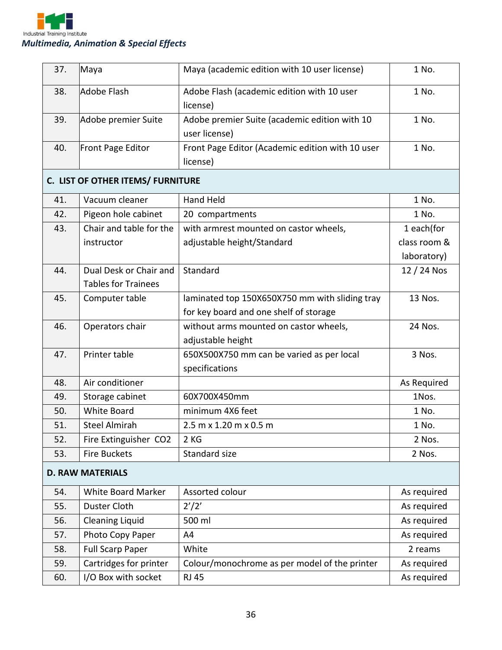

| 37. | Maya                              | Maya (academic edition with 10 user license)     | 1 No.        |
|-----|-----------------------------------|--------------------------------------------------|--------------|
| 38. | <b>Adobe Flash</b>                | Adobe Flash (academic edition with 10 user       | 1 No.        |
|     |                                   | license)                                         |              |
| 39. | Adobe premier Suite               | Adobe premier Suite (academic edition with 10    | 1 No.        |
|     |                                   | user license)                                    |              |
| 40. | Front Page Editor                 | Front Page Editor (Academic edition with 10 user | 1 No.        |
|     |                                   | license)                                         |              |
|     | C. LIST OF OTHER ITEMS/ FURNITURE |                                                  |              |
| 41. | Vacuum cleaner                    | <b>Hand Held</b>                                 | 1 No.        |
| 42. | Pigeon hole cabinet               | 20 compartments                                  | 1 No.        |
| 43. | Chair and table for the           | with armrest mounted on castor wheels,           | 1 each(for   |
|     | instructor                        | adjustable height/Standard                       | class room & |
|     |                                   |                                                  | laboratory)  |
| 44. | Dual Desk or Chair and            | Standard                                         | 12 / 24 Nos  |
|     | <b>Tables for Trainees</b>        |                                                  |              |
| 45. | Computer table                    | laminated top 150X650X750 mm with sliding tray   | 13 Nos.      |
|     |                                   | for key board and one shelf of storage           |              |
| 46. | Operators chair                   | without arms mounted on castor wheels,           | 24 Nos.      |
|     |                                   | adjustable height                                |              |
| 47. | Printer table                     | 650X500X750 mm can be varied as per local        | 3 Nos.       |
|     |                                   | specifications                                   |              |
| 48. | Air conditioner                   |                                                  | As Required  |
| 49. | Storage cabinet                   | 60X700X450mm                                     | 1Nos.        |
| 50. | <b>White Board</b>                | minimum 4X6 feet                                 | 1 No.        |
| 51. | <b>Steel Almirah</b>              | 2.5 m x 1.20 m x 0.5 m                           | 1 No.        |
| 52. | Fire Extinguisher CO2             | 2 KG                                             | 2 Nos.       |
| 53. | <b>Fire Buckets</b>               | Standard size                                    | 2 Nos.       |
|     | <b>D. RAW MATERIALS</b>           |                                                  |              |
| 54. | White Board Marker                | Assorted colour                                  | As required  |
| 55. | Duster Cloth                      | 2'/2'                                            | As required  |
| 56. | <b>Cleaning Liquid</b>            | 500 ml                                           | As required  |
| 57. | Photo Copy Paper                  | A4                                               | As required  |
| 58. | <b>Full Scarp Paper</b>           | White                                            | 2 reams      |
| 59. | Cartridges for printer            | Colour/monochrome as per model of the printer    | As required  |
| 60. | I/O Box with socket               | <b>RJ 45</b>                                     | As required  |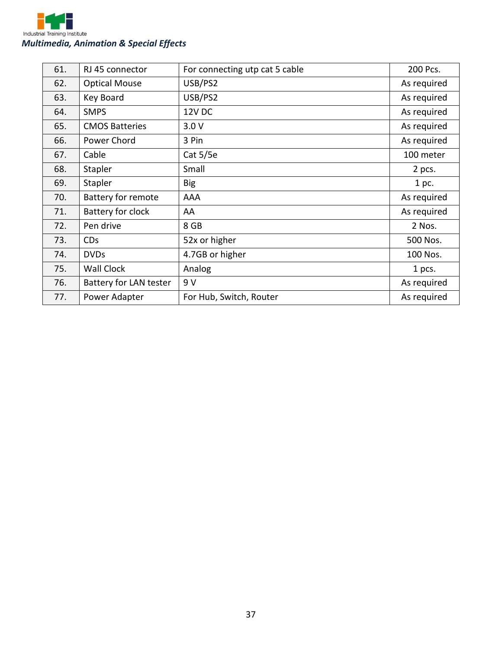

| 61. | RJ 45 connector           | For connecting utp cat 5 cable | 200 Pcs.    |
|-----|---------------------------|--------------------------------|-------------|
| 62. | <b>Optical Mouse</b>      | USB/PS2                        | As required |
| 63. | Key Board                 | USB/PS2                        | As required |
| 64. | <b>SMPS</b>               | <b>12V DC</b>                  | As required |
| 65. | <b>CMOS Batteries</b>     | 3.0V                           | As required |
| 66. | Power Chord               | 3 Pin                          | As required |
| 67. | Cable                     | Cat 5/5e                       | 100 meter   |
| 68. | Stapler                   | Small                          | 2 pcs.      |
| 69. | Stapler                   | <b>Big</b>                     | 1 pc.       |
| 70. | <b>Battery for remote</b> | AAA                            | As required |
| 71. | Battery for clock         | AA                             | As required |
| 72. | Pen drive                 | 8 GB                           | 2 Nos.      |
| 73. | <b>CDs</b>                | 52x or higher                  | 500 Nos.    |
| 74. | <b>DVDs</b>               | 4.7GB or higher                | 100 Nos.    |
| 75. | <b>Wall Clock</b>         | Analog                         | 1 pcs.      |
| 76. | Battery for LAN tester    | 9 V                            | As required |
| 77. | Power Adapter             | For Hub, Switch, Router        | As required |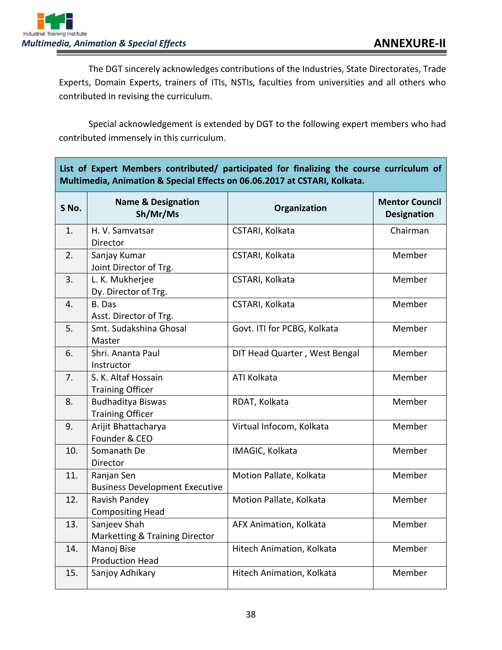

The DGT sincerely acknowledges contributions of the Industries, State Directorates, Trade Experts, Domain Experts, trainers of ITIs, NSTIs, faculties from universities and all others who contributed in revising the curriculum.

Special acknowledgement is extended by DGT to the following expert members who had contributed immensely in this curriculum.

| Multimedia, Animation & Special Effects on 06.06.2017 at CSTARI, Kolkata. |                                                           |                               |                                             |  |
|---------------------------------------------------------------------------|-----------------------------------------------------------|-------------------------------|---------------------------------------------|--|
| S No.                                                                     | <b>Name &amp; Designation</b><br>Sh/Mr/Ms                 | Organization                  | <b>Mentor Council</b><br><b>Designation</b> |  |
| 1.                                                                        | H. V. Samvatsar<br>Director                               | CSTARI, Kolkata               | Chairman                                    |  |
| 2.                                                                        | Sanjay Kumar<br>Joint Director of Trg.                    | CSTARI, Kolkata               | Member                                      |  |
| 3.                                                                        | L. K. Mukherjee<br>Dy. Director of Trg.                   | CSTARI, Kolkata               | Member                                      |  |
| 4.                                                                        | B. Das<br>Asst. Director of Trg.                          | CSTARI, Kolkata               | Member                                      |  |
| 5.                                                                        | Smt. Sudakshina Ghosal<br>Master                          | Govt. ITI for PCBG, Kolkata   | Member                                      |  |
| 6.                                                                        | Shri. Ananta Paul<br>Instructor                           | DIT Head Quarter, West Bengal | Member                                      |  |
| 7.                                                                        | S. K. Altaf Hossain<br><b>Training Officer</b>            | <b>ATI Kolkata</b>            | Member                                      |  |
| 8.                                                                        | <b>Budhaditya Biswas</b><br><b>Training Officer</b>       | RDAT, Kolkata                 | Member                                      |  |
| 9.                                                                        | Arijit Bhattacharya<br>Founder & CEO                      | Virtual Infocom, Kolkata      | Member                                      |  |
| 10.                                                                       | Somanath De<br>Director                                   | IMAGIC, Kolkata               | Member                                      |  |
| 11.                                                                       | Ranjan Sen<br><b>Business Development Executive</b>       | Motion Pallate, Kolkata       | Member                                      |  |
| 12.                                                                       | Ravish Pandey<br><b>Compositing Head</b>                  | Motion Pallate, Kolkata       | Member                                      |  |
| 13.                                                                       | Sanjeev Shah<br><b>Marketting &amp; Training Director</b> | AFX Animation, Kolkata        | Member                                      |  |
| 14.                                                                       | Manoj Bise<br><b>Production Head</b>                      | Hitech Animation, Kolkata     | Member                                      |  |
| 15.                                                                       | Sanjoy Adhikary                                           | Hitech Animation, Kolkata     | Member                                      |  |

**List of Expert Members contributed/ participated for finalizing the course curriculum of**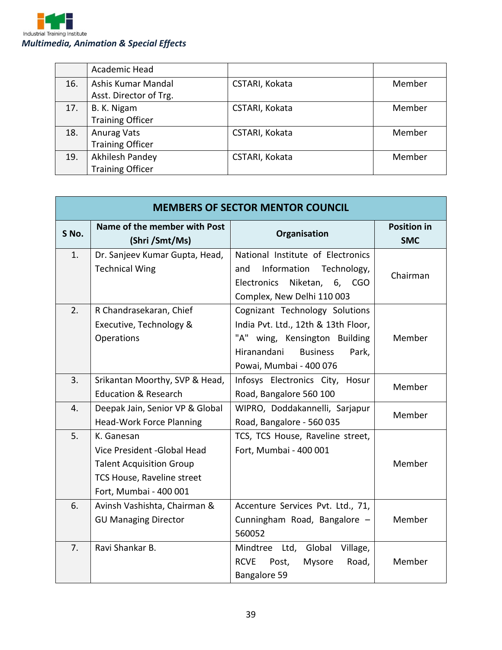

|     | Academic Head           |                |        |
|-----|-------------------------|----------------|--------|
| 16. | Ashis Kumar Mandal      | CSTARI, Kokata | Member |
|     | Asst. Director of Trg.  |                |        |
| 17. | B. K. Nigam             | CSTARI, Kokata | Member |
|     | <b>Training Officer</b> |                |        |
| 18. | <b>Anurag Vats</b>      | CSTARI, Kokata | Member |
|     | <b>Training Officer</b> |                |        |
| 19. | Akhilesh Pandey         | CSTARI, Kokata | Member |
|     | <b>Training Officer</b> |                |        |

| <b>MEMBERS OF SECTOR MENTOR COUNCIL</b> |                                                                                                                                       |                                                                                                                                                                              |                                  |
|-----------------------------------------|---------------------------------------------------------------------------------------------------------------------------------------|------------------------------------------------------------------------------------------------------------------------------------------------------------------------------|----------------------------------|
| S No.                                   | Name of the member with Post<br>(Shri/Smt/Ms)                                                                                         | Organisation                                                                                                                                                                 | <b>Position in</b><br><b>SMC</b> |
| 1.                                      | Dr. Sanjeev Kumar Gupta, Head,<br><b>Technical Wing</b>                                                                               | National Institute of Electronics<br>Information<br>Technology,<br>and<br>Electronics<br>Niketan,<br>6,<br><b>CGO</b><br>Complex, New Delhi 110 003                          | Chairman                         |
| 2.                                      | R Chandrasekaran, Chief<br>Executive, Technology &<br>Operations                                                                      | Cognizant Technology Solutions<br>India Pvt. Ltd., 12th & 13th Floor,<br>"A" wing, Kensington Building<br><b>Business</b><br>Hiranandani<br>Park,<br>Powai, Mumbai - 400 076 | Member                           |
| 3.                                      | Srikantan Moorthy, SVP & Head,<br><b>Education &amp; Research</b>                                                                     | Infosys Electronics City, Hosur<br>Road, Bangalore 560 100                                                                                                                   | Member                           |
| 4.                                      | Deepak Jain, Senior VP & Global<br><b>Head-Work Force Planning</b>                                                                    | WIPRO, Doddakannelli, Sarjapur<br>Road, Bangalore - 560 035                                                                                                                  | Member                           |
| 5.                                      | K. Ganesan<br>Vice President - Global Head<br><b>Talent Acquisition Group</b><br>TCS House, Raveline street<br>Fort, Mumbai - 400 001 | TCS, TCS House, Raveline street,<br>Fort, Mumbai - 400 001                                                                                                                   | Member                           |
| 6.                                      | Avinsh Vashishta, Chairman &<br><b>GU Managing Director</b>                                                                           | Accenture Services Pvt. Ltd., 71,<br>Cunningham Road, Bangalore -<br>560052                                                                                                  | Member                           |
| 7.                                      | Ravi Shankar B.                                                                                                                       | Global<br>Mindtree Ltd,<br>Village,<br><b>RCVE</b><br>Mysore<br>Road,<br>Post,<br>Bangalore 59                                                                               | Member                           |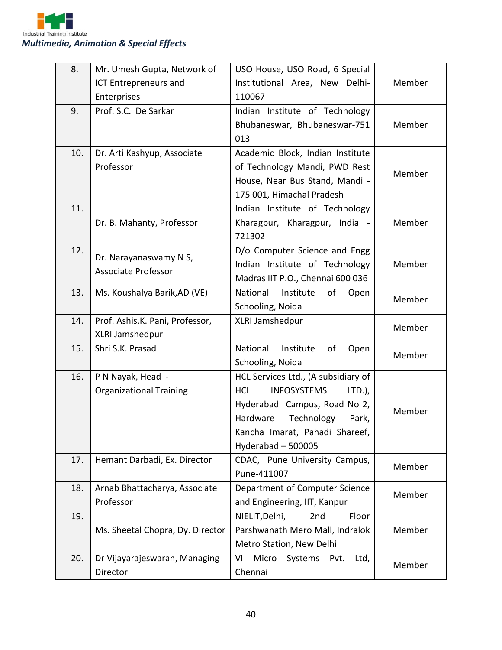| 8.  | Mr. Umesh Gupta, Network of      | USO House, USO Road, 6 Special                |        |
|-----|----------------------------------|-----------------------------------------------|--------|
|     | <b>ICT Entrepreneurs and</b>     | Institutional Area, New Delhi-                | Member |
|     | Enterprises                      | 110067                                        |        |
| 9.  | Prof. S.C. De Sarkar             | Indian Institute of Technology                |        |
|     |                                  | Bhubaneswar, Bhubaneswar-751                  | Member |
|     |                                  | 013                                           |        |
| 10. | Dr. Arti Kashyup, Associate      | Academic Block, Indian Institute              |        |
|     | Professor                        | of Technology Mandi, PWD Rest                 | Member |
|     |                                  | House, Near Bus Stand, Mandi -                |        |
|     |                                  | 175 001, Himachal Pradesh                     |        |
| 11. |                                  | Indian Institute of Technology                |        |
|     | Dr. B. Mahanty, Professor        | Kharagpur, Kharagpur, India -                 | Member |
|     |                                  | 721302                                        |        |
| 12. | Dr. Narayanaswamy N S,           | D/o Computer Science and Engg                 |        |
|     | <b>Associate Professor</b>       | Indian Institute of Technology                | Member |
|     |                                  | Madras IIT P.O., Chennai 600 036              |        |
| 13. | Ms. Koushalya Barik, AD (VE)     | National<br>Institute<br>of<br>Open           | Member |
|     |                                  | Schooling, Noida                              |        |
| 14. | Prof. Ashis.K. Pani, Professor,  | XLRI Jamshedpur                               | Member |
|     | XLRI Jamshedpur                  |                                               |        |
| 15. | Shri S.K. Prasad                 | National<br>Institute<br>of<br>Open           | Member |
|     |                                  | Schooling, Noida                              |        |
| 16. | P N Nayak, Head -                | HCL Services Ltd., (A subsidiary of           |        |
|     | <b>Organizational Training</b>   | <b>HCL</b><br><b>INFOSYSTEMS</b><br>$LTD.$ ), |        |
|     |                                  | Hyderabad Campus, Road No 2,                  | Member |
|     |                                  | Hardware<br>Technology<br>Park,               |        |
|     |                                  | Kancha Imarat, Pahadi Shareef,                |        |
|     |                                  | Hyderabad - 500005                            |        |
| 17. | Hemant Darbadi, Ex. Director     | CDAC, Pune University Campus,                 | Member |
|     |                                  | Pune-411007                                   |        |
| 18. | Arnab Bhattacharya, Associate    | Department of Computer Science                | Member |
|     | Professor                        | and Engineering, IIT, Kanpur                  |        |
| 19. |                                  | NIELIT, Delhi,<br>2nd<br>Floor                |        |
|     | Ms. Sheetal Chopra, Dy. Director | Parshwanath Mero Mall, Indralok               | Member |
|     |                                  | Metro Station, New Delhi                      |        |
| 20. | Dr Vijayarajeswaran, Managing    | Micro<br>VI<br>Systems<br>Ltd,<br>Pvt.        | Member |
|     | Director                         | Chennai                                       |        |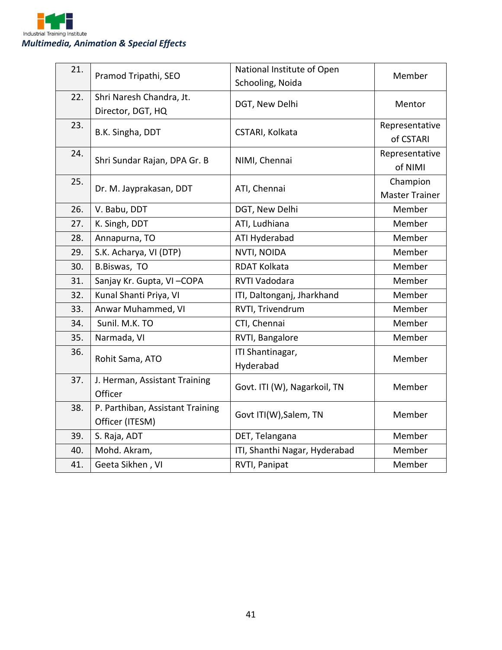

| 21. |                                  | National Institute of Open    |                       |
|-----|----------------------------------|-------------------------------|-----------------------|
|     | Pramod Tripathi, SEO             |                               | Member                |
|     |                                  | Schooling, Noida              |                       |
| 22. | Shri Naresh Chandra, Jt.         | DGT, New Delhi                | Mentor                |
|     | Director, DGT, HQ                |                               |                       |
| 23. |                                  |                               | Representative        |
|     | B.K. Singha, DDT                 | CSTARI, Kolkata               | of CSTARI             |
| 24. |                                  |                               | Representative        |
|     | Shri Sundar Rajan, DPA Gr. B     | NIMI, Chennai                 | of NIMI               |
| 25. | Dr. M. Jayprakasan, DDT          | ATI, Chennai                  | Champion              |
|     |                                  |                               | <b>Master Trainer</b> |
| 26. | V. Babu, DDT                     | DGT, New Delhi                | Member                |
| 27. | K. Singh, DDT                    | ATI, Ludhiana                 | Member                |
| 28. | Annapurna, TO                    | ATI Hyderabad                 | Member                |
| 29. | S.K. Acharya, VI (DTP)           | NVTI, NOIDA                   | Member                |
| 30. | B.Biswas, TO                     | <b>RDAT Kolkata</b>           | Member                |
| 31. | Sanjay Kr. Gupta, VI-COPA        | RVTI Vadodara                 | Member                |
| 32. | Kunal Shanti Priya, VI           | ITI, Daltonganj, Jharkhand    | Member                |
| 33. | Anwar Muhammed, VI               | RVTI, Trivendrum              | Member                |
| 34. | Sunil. M.K. TO                   | CTI, Chennai                  | Member                |
| 35. | Narmada, VI                      | RVTI, Bangalore               | Member                |
| 36. |                                  | ITI Shantinagar,              |                       |
|     | Rohit Sama, ATO                  | Hyderabad                     | Member                |
| 37. | J. Herman, Assistant Training    |                               | Member                |
|     | Officer                          | Govt. ITI (W), Nagarkoil, TN  |                       |
| 38. | P. Parthiban, Assistant Training | Govt ITI(W), Salem, TN        |                       |
|     | Officer (ITESM)                  |                               | Member                |
| 39. | S. Raja, ADT                     | DET, Telangana                | Member                |
| 40. | Mohd. Akram,                     | ITI, Shanthi Nagar, Hyderabad | Member                |
| 41. | Geeta Sikhen, VI                 | RVTI, Panipat                 | Member                |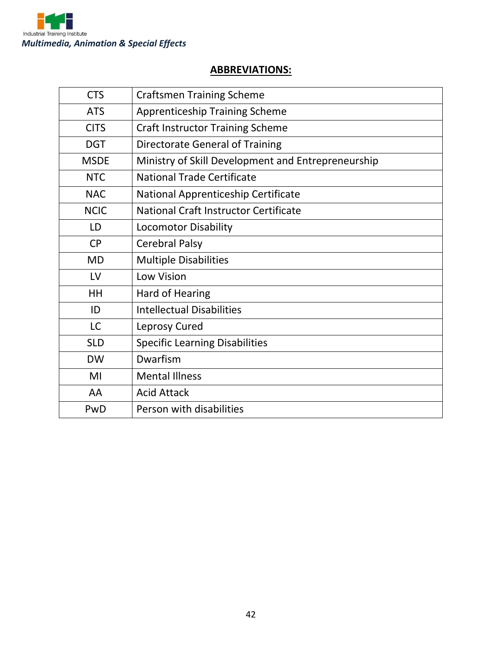

### **ABBREVIATIONS:**

| <b>CTS</b>  | <b>Craftsmen Training Scheme</b>                   |
|-------------|----------------------------------------------------|
| <b>ATS</b>  | <b>Apprenticeship Training Scheme</b>              |
| <b>CITS</b> | <b>Craft Instructor Training Scheme</b>            |
| <b>DGT</b>  | Directorate General of Training                    |
| <b>MSDE</b> | Ministry of Skill Development and Entrepreneurship |
| <b>NTC</b>  | <b>National Trade Certificate</b>                  |
| <b>NAC</b>  | National Apprenticeship Certificate                |
| <b>NCIC</b> | National Craft Instructor Certificate              |
| LD          | <b>Locomotor Disability</b>                        |
| <b>CP</b>   | <b>Cerebral Palsy</b>                              |
| <b>MD</b>   | <b>Multiple Disabilities</b>                       |
| LV          | <b>Low Vision</b>                                  |
| HH          | <b>Hard of Hearing</b>                             |
| ID          | <b>Intellectual Disabilities</b>                   |
| <b>LC</b>   | Leprosy Cured                                      |
| <b>SLD</b>  | <b>Specific Learning Disabilities</b>              |
| <b>DW</b>   | Dwarfism                                           |
| MI          | <b>Mental Illness</b>                              |
| AA          | <b>Acid Attack</b>                                 |
| PwD         | Person with disabilities                           |